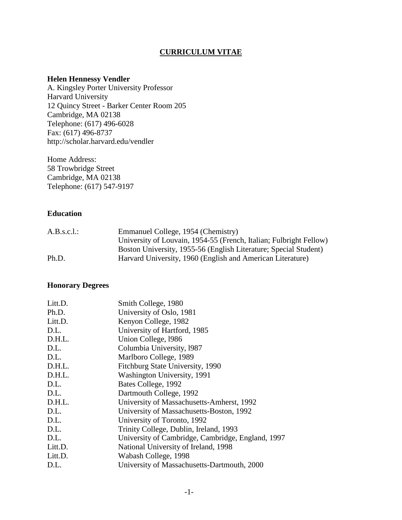# **CURRICULUM VITAE**

#### **Helen Hennessy Vendler**

A. Kingsley Porter University Professor Harvard University 12 Quincy Street - Barker Center Room 205 Cambridge, MA 02138 Telephone: (617) 496-6028 Fax: (617) 496-8737 http://scholar.harvard.edu/vendler

Home Address: 58 Trowbridge Street Cambridge, MA 02138 Telephone: (617) 547-9197

### **Education**

| A.B.s.c.l.: | Emmanuel College, 1954 (Chemistry)                                 |
|-------------|--------------------------------------------------------------------|
|             | University of Louvain, 1954-55 (French, Italian; Fulbright Fellow) |
|             | Boston University, 1955-56 (English Literature; Special Student)   |
| Ph.D.       | Harvard University, 1960 (English and American Literature)         |

#### **Honorary Degrees**

| Litt.D. | Smith College, 1980                               |
|---------|---------------------------------------------------|
| Ph.D.   | University of Oslo, 1981                          |
| Litt.D. | Kenyon College, 1982                              |
| D.L.    | University of Hartford, 1985                      |
| D.H.L.  | Union College, 1986                               |
| D.L.    | Columbia University, 1987                         |
| D.L.    | Marlboro College, 1989                            |
| D.H.L.  | Fitchburg State University, 1990                  |
| D.H.L.  | Washington University, 1991                       |
| D.L.    | Bates College, 1992                               |
| D.L.    | Dartmouth College, 1992                           |
| D.H.L.  | University of Massachusetts-Amherst, 1992         |
| D.L.    | University of Massachusetts-Boston, 1992          |
| D.L.    | University of Toronto, 1992                       |
| D.L.    | Trinity College, Dublin, Ireland, 1993            |
| D.L.    | University of Cambridge, Cambridge, England, 1997 |
| Litt.D. | National University of Ireland, 1998              |
| Litt.D. | Wabash College, 1998                              |
| D.L.    | University of Massachusetts-Dartmouth, 2000       |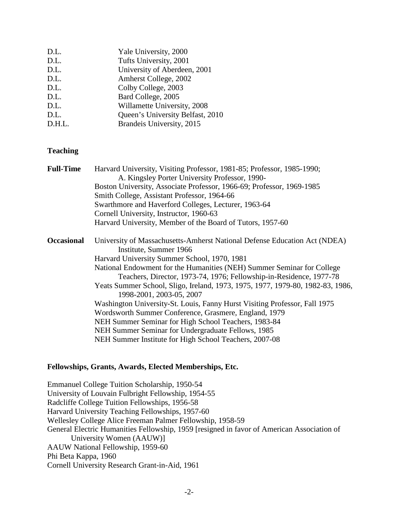| D.L.   | Yale University, 2000            |
|--------|----------------------------------|
| D.L.   | Tufts University, 2001           |
| D.L.   | University of Aberdeen, 2001     |
| D.L.   | Amherst College, 2002            |
| D.L.   | Colby College, 2003              |
| D.L.   | Bard College, 2005               |
| D.L.   | Willamette University, 2008      |
| D.L.   | Queen's University Belfast, 2010 |
| D.H.L. | Brandeis University, 2015        |
|        |                                  |

# **Teaching**

| <b>Full-Time</b>  | Harvard University, Visiting Professor, 1981-85; Professor, 1985-1990;                              |
|-------------------|-----------------------------------------------------------------------------------------------------|
|                   | A. Kingsley Porter University Professor, 1990-                                                      |
|                   | Boston University, Associate Professor, 1966-69; Professor, 1969-1985                               |
|                   | Smith College, Assistant Professor, 1964-66                                                         |
|                   | Swarthmore and Haverford Colleges, Lecturer, 1963-64                                                |
|                   | Cornell University, Instructor, 1960-63                                                             |
|                   | Harvard University, Member of the Board of Tutors, 1957-60                                          |
| <b>Occasional</b> | University of Massachusetts-Amherst National Defense Education Act (NDEA)<br>Institute, Summer 1966 |
|                   | Harvard University Summer School, 1970, 1981                                                        |
|                   | National Endowment for the Humanities (NEH) Summer Seminar for College                              |
|                   | Teachers, Director, 1973-74, 1976; Fellowship-in-Residence, 1977-78                                 |
|                   | Yeats Summer School, Sligo, Ireland, 1973, 1975, 1977, 1979-80, 1982-83, 1986,                      |
|                   | 1998-2001, 2003-05, 2007                                                                            |
|                   | Washington University-St. Louis, Fanny Hurst Visiting Professor, Fall 1975                          |
|                   | Wordsworth Summer Conference, Grasmere, England, 1979                                               |
|                   | NEH Summer Seminar for High School Teachers, 1983-84                                                |
|                   | NEH Summer Seminar for Undergraduate Fellows, 1985                                                  |
|                   | NEH Summer Institute for High School Teachers, 2007-08                                              |
|                   |                                                                                                     |

# **Fellowships, Grants, Awards, Elected Memberships, Etc.**

Emmanuel College Tuition Scholarship, 1950-54 University of Louvain Fulbright Fellowship, 1954-55 Radcliffe College Tuition Fellowships, 1956-58 Harvard University Teaching Fellowships, 1957-60 Wellesley College Alice Freeman Palmer Fellowship, 1958-59 General Electric Humanities Fellowship, 1959 [resigned in favor of American Association of University Women (AAUW)] AAUW National Fellowship, 1959-60 Phi Beta Kappa, 1960 Cornell University Research Grant-in-Aid, 1961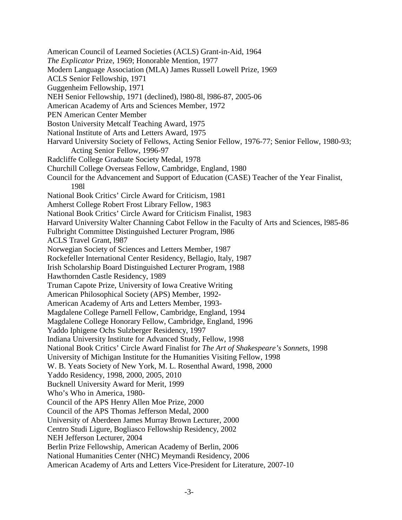American Council of Learned Societies (ACLS) Grant-in-Aid, 1964 *The Explicator* Prize, 1969; Honorable Mention, 1977 Modern Language Association (MLA) James Russell Lowell Prize, 1969 ACLS Senior Fellowship, 1971 Guggenheim Fellowship, 1971 NEH Senior Fellowship, 1971 (declined), l980-8l, l986-87, 2005-06 American Academy of Arts and Sciences Member, 1972 PEN American Center Member Boston University Metcalf Teaching Award, 1975 National Institute of Arts and Letters Award, 1975 Harvard University Society of Fellows, Acting Senior Fellow, 1976-77; Senior Fellow, 1980-93; Acting Senior Fellow, 1996-97 Radcliffe College Graduate Society Medal, 1978 Churchill College Overseas Fellow, Cambridge, England, 1980 Council for the Advancement and Support of Education (CASE) Teacher of the Year Finalist, 198l National Book Critics' Circle Award for Criticism, 1981 Amherst College Robert Frost Library Fellow, 1983 National Book Critics' Circle Award for Criticism Finalist, 1983 Harvard University Walter Channing Cabot Fellow in the Faculty of Arts and Sciences, l985-86 Fulbright Committee Distinguished Lecturer Program, l986 ACLS Travel Grant, l987 Norwegian Society of Sciences and Letters Member, 1987 Rockefeller International Center Residency, Bellagio, Italy, 1987 Irish Scholarship Board Distinguished Lecturer Program, 1988 Hawthornden Castle Residency, 1989 Truman Capote Prize, University of Iowa Creative Writing American Philosophical Society (APS) Member, 1992- American Academy of Arts and Letters Member, 1993- Magdalene College Parnell Fellow, Cambridge, England, 1994 Magdalene College Honorary Fellow, Cambridge, England, 1996 Yaddo Iphigene Ochs Sulzberger Residency, 1997 Indiana University Institute for Advanced Study, Fellow, 1998 National Book Critics' Circle Award Finalist for *The Art of Shakespeare's Sonnets*, 1998 University of Michigan Institute for the Humanities Visiting Fellow, 1998 W. B. Yeats Society of New York, M. L. Rosenthal Award, 1998, 2000 Yaddo Residency, 1998, 2000, 2005, 2010 Bucknell University Award for Merit, 1999 Who's Who in America, 1980- Council of the APS Henry Allen Moe Prize, 2000 Council of the APS Thomas Jefferson Medal, 2000 University of Aberdeen James Murray Brown Lecturer, 2000 Centro Studi Ligure, Bogliasco Fellowship Residency, 2002 NEH Jefferson Lecturer, 2004 Berlin Prize Fellowship, American Academy of Berlin, 2006 National Humanities Center (NHC) Meymandi Residency, 2006 American Academy of Arts and Letters Vice-President for Literature, 2007-10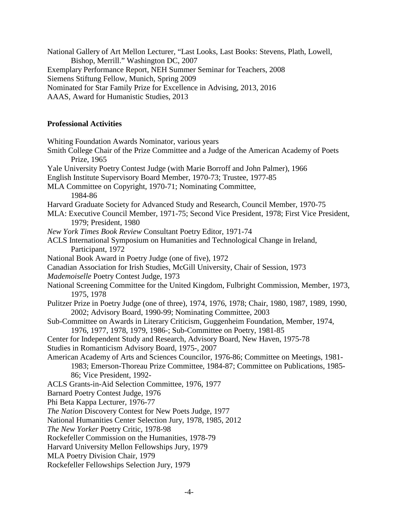National Gallery of Art Mellon Lecturer, "Last Looks, Last Books: Stevens, Plath, Lowell, Bishop, Merrill." Washington DC, 2007 Exemplary Performance Report, NEH Summer Seminar for Teachers, 2008 Siemens Stiftung Fellow, Munich, Spring 2009 Nominated for Star Family Prize for Excellence in Advising, 2013, 2016 AAAS, Award for Humanistic Studies, 2013

#### **Professional Activities**

Whiting Foundation Awards Nominator, various years

Smith College Chair of the Prize Committee and a Judge of the American Academy of Poets Prize, 1965

Yale University Poetry Contest Judge (with Marie Borroff and John Palmer), 1966

English Institute Supervisory Board Member, 1970-73; Trustee, 1977-85

- MLA Committee on Copyright, 1970-71; Nominating Committee, 1984-86
- Harvard Graduate Society for Advanced Study and Research, Council Member, 1970-75
- MLA: Executive Council Member, 1971-75; Second Vice President, 1978; First Vice President, 1979; President, 1980
- *New York Times Book Review* Consultant Poetry Editor, 1971-74
- ACLS International Symposium on Humanities and Technological Change in Ireland, Participant, 1972
- National Book Award in Poetry Judge (one of five), 1972
- Canadian Association for Irish Studies, McGill University, Chair of Session, 1973

*Mademoiselle* Poetry Contest Judge, 1973

- National Screening Committee for the United Kingdom, Fulbright Commission, Member, 1973, 1975, 1978
- Pulitzer Prize in Poetry Judge (one of three), 1974, 1976, 1978; Chair, 1980, 1987, 1989, 1990, 2002; Advisory Board, 1990-99; Nominating Committee, 2003
- Sub-Committee on Awards in Literary Criticism, Guggenheim Foundation, Member, 1974, 1976, 1977, 1978, 1979, 1986-; Sub-Committee on Poetry, 1981-85
- Center for Independent Study and Research, Advisory Board, New Haven, 1975-78
- Studies in Romanticism Advisory Board, 1975-, 2007
- American Academy of Arts and Sciences Councilor, 1976-86; Committee on Meetings, 1981- 1983; Emerson-Thoreau Prize Committee, 1984-87; Committee on Publications, 1985- 86; Vice President, 1992-
- ACLS Grants-in-Aid Selection Committee, 1976, 1977
- Barnard Poetry Contest Judge, 1976
- Phi Beta Kappa Lecturer, 1976-77
- *The Nation* Discovery Contest for New Poets Judge, 1977
- National Humanities Center Selection Jury, 1978, 1985, 2012
- *The New Yorker* Poetry Critic, 1978-98
- Rockefeller Commission on the Humanities, 1978-79
- Harvard University Mellon Fellowships Jury, 1979
- MLA Poetry Division Chair, 1979
- Rockefeller Fellowships Selection Jury, 1979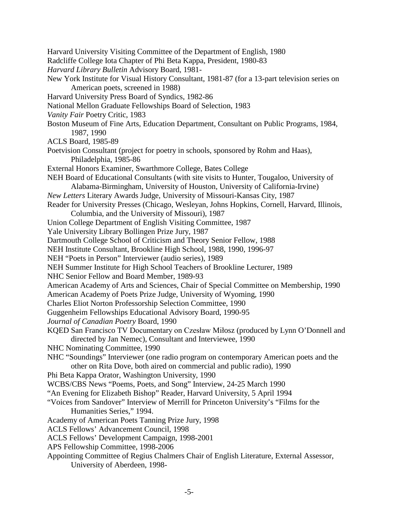Harvard University Visiting Committee of the Department of English, 1980 Radcliffe College Iota Chapter of Phi Beta Kappa, President, 1980-83 *Harvard Library Bulletin* Advisory Board, 1981- New York Institute for Visual History Consultant, 1981-87 (for a 13-part television series on American poets, screened in 1988) Harvard University Press Board of Syndics, 1982-86 National Mellon Graduate Fellowships Board of Selection, 1983 *Vanity Fair* Poetry Critic, 1983 Boston Museum of Fine Arts, Education Department, Consultant on Public Programs, 1984, 1987, 1990 ACLS Board, 1985-89 Poetvision Consultant (project for poetry in schools, sponsored by Rohm and Haas), Philadelphia, 1985-86 External Honors Examiner, Swarthmore College, Bates College NEH Board of Educational Consultants (with site visits to Hunter, Tougaloo, University of Alabama-Birmingham, University of Houston, University of California-Irvine) *New Letters* Literary Awards Judge, University of Missouri-Kansas City, 1987 Reader for University Presses (Chicago, Wesleyan, Johns Hopkins, Cornell, Harvard, Illinois, Columbia, and the University of Missouri), 1987 Union College Department of English Visiting Committee, 1987 Yale University Library Bollingen Prize Jury, 1987 Dartmouth College School of Criticism and Theory Senior Fellow, 1988 NEH Institute Consultant, Brookline High School, 1988, 1990, 1996-97 NEH "Poets in Person" Interviewer (audio series), 1989 NEH Summer Institute for High School Teachers of Brookline Lecturer, 1989 NHC Senior Fellow and Board Member, 1989-93 American Academy of Arts and Sciences, Chair of Special Committee on Membership, 1990 American Academy of Poets Prize Judge, University of Wyoming, 1990 Charles Eliot Norton Professorship Selection Committee, 1990 Guggenheim Fellowships Educational Advisory Board, 1990-95 *Journal of Canadian Poetry* Board, 1990 KQED San Francisco TV Documentary on Czesław Miłosz (produced by Lynn O'Donnell and directed by Jan Nemec), Consultant and Interviewee, 1990 NHC Nominating Committee, 1990 NHC "Soundings" Interviewer (one radio program on contemporary American poets and the other on Rita Dove, both aired on commercial and public radio), 1990 Phi Beta Kappa Orator, Washington University, 1990 WCBS/CBS News "Poems, Poets, and Song" Interview, 24-25 March 1990 "An Evening for Elizabeth Bishop" Reader, Harvard University, 5 April 1994 "Voices from Sandover" Interview of Merrill for Princeton University's "Films for the Humanities Series," 1994. Academy of American Poets Tanning Prize Jury, 1998 ACLS Fellows' Advancement Council, 1998 ACLS Fellows' Development Campaign, 1998-2001 APS Fellowship Committee, 1998-2006 Appointing Committee of Regius Chalmers Chair of English Literature, External Assessor, University of Aberdeen, 1998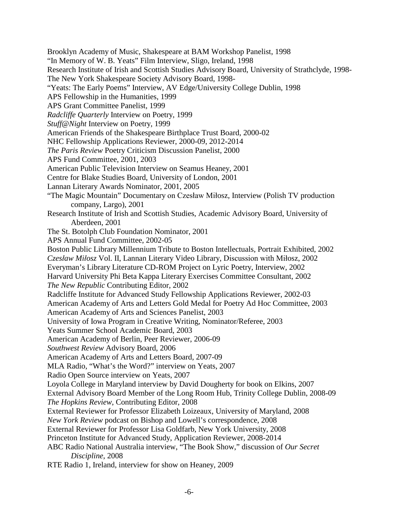Brooklyn Academy of Music, Shakespeare at BAM Workshop Panelist, 1998 "In Memory of W. B. Yeats" Film Interview, Sligo, Ireland, 1998 Research Institute of Irish and Scottish Studies Advisory Board, University of Strathclyde, 1998- The New York Shakespeare Society Advisory Board, 1998- "Yeats: The Early Poems" Interview, AV Edge/University College Dublin, 1998 APS Fellowship in the Humanities, 1999 APS Grant Committee Panelist, 1999 *Radcliffe Quarterly* Interview on Poetry, 1999 *Stuff@Night* Interview on Poetry, 1999 American Friends of the Shakespeare Birthplace Trust Board, 2000-02 NHC Fellowship Applications Reviewer, 2000-09, 2012-2014 *The Paris Review* Poetry Criticism Discussion Panelist, 2000 APS Fund Committee, 2001, 2003 American Public Television Interview on Seamus Heaney, 2001 Centre for Blake Studies Board, University of London, 2001 Lannan Literary Awards Nominator, 2001, 2005 "The Magic Mountain" Documentary on Czesław Miłosz, Interview (Polish TV production company, Largo), 2001 Research Institute of Irish and Scottish Studies, Academic Advisory Board, University of Aberdeen, 2001 The St. Botolph Club Foundation Nominator, 2001 APS Annual Fund Committee, 2002-05 Boston Public Library Millennium Tribute to Boston Intellectuals, Portrait Exhibited, 2002 *Czesław Miłosz* Vol. II, Lannan Literary Video Library, Discussion with Miłosz, 2002 Everyman's Library Literature CD-ROM Project on Lyric Poetry, Interview, 2002 Harvard University Phi Beta Kappa Literary Exercises Committee Consultant, 2002 *The New Republic* Contributing Editor, 2002 Radcliffe Institute for Advanced Study Fellowship Applications Reviewer, 2002-03 American Academy of Arts and Letters Gold Medal for Poetry Ad Hoc Committee, 2003 American Academy of Arts and Sciences Panelist, 2003 University of Iowa Program in Creative Writing, Nominator/Referee, 2003 Yeats Summer School Academic Board, 2003 American Academy of Berlin, Peer Reviewer, 2006-09 *Southwest Review* Advisory Board, 2006 American Academy of Arts and Letters Board, 2007-09 MLA Radio, "What's the Word?" interview on Yeats, 2007 Radio Open Source interview on Yeats, 2007 Loyola College in Maryland interview by David Dougherty for book on Elkins, 2007 External Advisory Board Member of the Long Room Hub, Trinity College Dublin, 2008-09 *The Hopkins Review*, Contributing Editor, 2008 External Reviewer for Professor Elizabeth Loizeaux, University of Maryland, 2008 *New York Review* podcast on Bishop and Lowell's correspondence, 2008 External Reviewer for Professor Lisa Goldfarb, New York University, 2008 Princeton Institute for Advanced Study, Application Reviewer, 2008-2014 ABC Radio National Australia interview, "The Book Show," discussion of *Our Secret Discipline*, 2008 RTE Radio 1, Ireland, interview for show on Heaney, 2009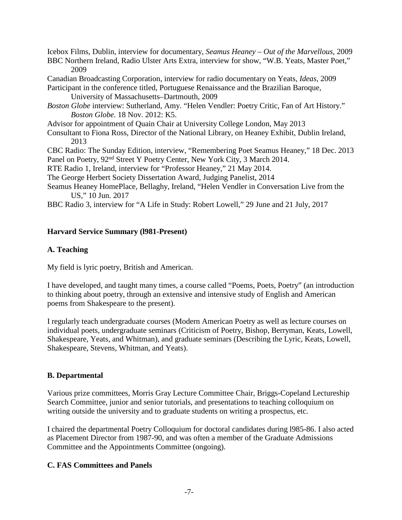Icebox Films, Dublin, interview for documentary, *Seamus Heaney – Out of the Marvellous*, 2009

- BBC Northern Ireland, Radio Ulster Arts Extra, interview for show, "W.B. Yeats, Master Poet," 2009
- Canadian Broadcasting Corporation, interview for radio documentary on Yeats, *Ideas*, 2009
- Participant in the conference titled, Portuguese Renaissance and the Brazilian Baroque, University of Massachusetts–Dartmouth, 2009
- *Boston Globe* interview: Sutherland, Amy. "Helen Vendler: Poetry Critic, Fan of Art History." *Boston Globe.* 18 Nov. 2012: K5.
- Advisor for appointment of Quain Chair at University College London, May 2013
- Consultant to Fiona Ross, Director of the National Library, on Heaney Exhibit, Dublin Ireland, 2013

CBC Radio: The Sunday Edition, interview, "Remembering Poet Seamus Heaney," 18 Dec. 2013 Panel on Poetry, 92<sup>nd</sup> Street Y Poetry Center, New York City, 3 March 2014.

RTE Radio 1, Ireland, interview for "Professor Heaney," 21 May 2014.

The George Herbert Society Dissertation Award, Judging Panelist, 2014

Seamus Heaney HomePlace, Bellaghy, Ireland, "Helen Vendler in Conversation Live from the US," 10 Jun. 2017

BBC Radio 3, interview for "A Life in Study: Robert Lowell," 29 June and 21 July, 2017

# **Harvard Service Summary (l981-Present)**

# **A. Teaching**

My field is lyric poetry, British and American.

I have developed, and taught many times, a course called "Poems, Poets, Poetry" (an introduction to thinking about poetry, through an extensive and intensive study of English and American poems from Shakespeare to the present).

I regularly teach undergraduate courses (Modern American Poetry as well as lecture courses on individual poets, undergraduate seminars (Criticism of Poetry, Bishop, Berryman, Keats, Lowell, Shakespeare, Yeats, and Whitman), and graduate seminars (Describing the Lyric, Keats, Lowell, Shakespeare, Stevens, Whitman, and Yeats).

# **B. Departmental**

Various prize committees, Morris Gray Lecture Committee Chair, Briggs-Copeland Lectureship Search Committee, junior and senior tutorials, and presentations to teaching colloquium on writing outside the university and to graduate students on writing a prospectus, etc.

I chaired the departmental Poetry Colloquium for doctoral candidates during l985-86. I also acted as Placement Director from 1987-90, and was often a member of the Graduate Admissions Committee and the Appointments Committee (ongoing).

# **C. FAS Committees and Panels**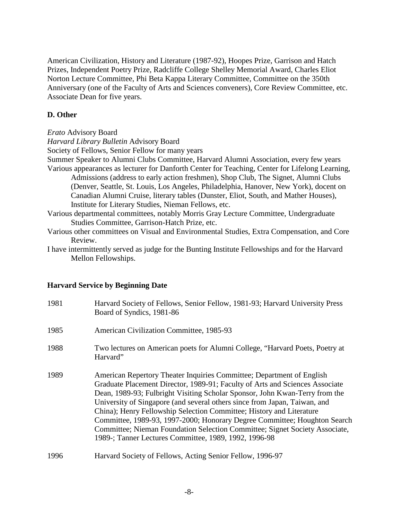American Civilization, History and Literature (1987-92), Hoopes Prize, Garrison and Hatch Prizes, Independent Poetry Prize, Radcliffe College Shelley Memorial Award, Charles Eliot Norton Lecture Committee, Phi Beta Kappa Literary Committee, Committee on the 350th Anniversary (one of the Faculty of Arts and Sciences conveners), Core Review Committee, etc. Associate Dean for five years.

# **D. Other**

*Erato* Advisory Board

*Harvard Library Bulletin* Advisory Board

Society of Fellows, Senior Fellow for many years

Summer Speaker to Alumni Clubs Committee, Harvard Alumni Association, every few years Various appearances as lecturer for Danforth Center for Teaching, Center for Lifelong Learning, Admissions (address to early action freshmen), Shop Club, The Signet, Alumni Clubs (Denver, Seattle, St. Louis, Los Angeles, Philadelphia, Hanover, New York), docent on Canadian Alumni Cruise, literary tables (Dunster, Eliot, South, and Mather Houses), Institute for Literary Studies, Nieman Fellows, etc.

Various departmental committees, notably Morris Gray Lecture Committee, Undergraduate Studies Committee, Garrison-Hatch Prize, etc.

- Various other committees on Visual and Environmental Studies, Extra Compensation, and Core Review.
- I have intermittently served as judge for the Bunting Institute Fellowships and for the Harvard Mellon Fellowships.

# **Harvard Service by Beginning Date**

| 1981 | Harvard Society of Fellows, Senior Fellow, 1981-93; Harvard University Press<br>Board of Syndics, 1981-86                                                                                                                                                                                                                                                                                                                                                                                                                                                                                                      |
|------|----------------------------------------------------------------------------------------------------------------------------------------------------------------------------------------------------------------------------------------------------------------------------------------------------------------------------------------------------------------------------------------------------------------------------------------------------------------------------------------------------------------------------------------------------------------------------------------------------------------|
| 1985 | American Civilization Committee, 1985-93                                                                                                                                                                                                                                                                                                                                                                                                                                                                                                                                                                       |
| 1988 | Two lectures on American poets for Alumni College, "Harvard Poets, Poetry at<br>Harvard"                                                                                                                                                                                                                                                                                                                                                                                                                                                                                                                       |
| 1989 | American Repertory Theater Inquiries Committee; Department of English<br>Graduate Placement Director, 1989-91; Faculty of Arts and Sciences Associate<br>Dean, 1989-93; Fulbright Visiting Scholar Sponsor, John Kwan-Terry from the<br>University of Singapore (and several others since from Japan, Taiwan, and<br>China); Henry Fellowship Selection Committee; History and Literature<br>Committee, 1989-93, 1997-2000; Honorary Degree Committee; Houghton Search<br>Committee; Nieman Foundation Selection Committee; Signet Society Associate,<br>1989-; Tanner Lectures Committee, 1989, 1992, 1996-98 |
| 1996 | Harvard Society of Fellows, Acting Senior Fellow, 1996-97                                                                                                                                                                                                                                                                                                                                                                                                                                                                                                                                                      |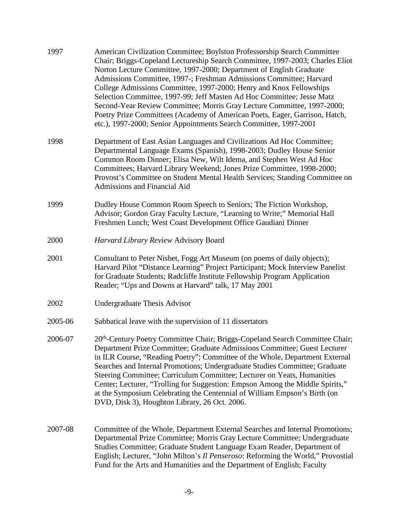| 1997    | American Civilization Committee; Boylston Professorship Search Committee<br>Chair; Briggs-Copeland Lectureship Search Committee, 1997-2003; Charles Eliot<br>Norton Lecture Committee, 1997-2000; Department of English Graduate<br>Admissions Committee, 1997-; Freshman Admissions Committee; Harvard<br>College Admissions Committee, 1997-2000; Henry and Knox Fellowships<br>Selection Committee, 1997-99; Jeff Masten Ad Hoc Committee; Jesse Matz<br>Second-Year Review Committee; Morris Gray Lecture Committee, 1997-2000;<br>Poetry Prize Committees (Academy of American Poets, Eager, Garrison, Hatch,<br>etc.), 1997-2000; Senior Appointments Search Committee, 1997-2001 |
|---------|-----------------------------------------------------------------------------------------------------------------------------------------------------------------------------------------------------------------------------------------------------------------------------------------------------------------------------------------------------------------------------------------------------------------------------------------------------------------------------------------------------------------------------------------------------------------------------------------------------------------------------------------------------------------------------------------|
| 1998    | Department of East Asian Languages and Civilizations Ad Hoc Committee;<br>Departmental Language Exams (Spanish), 1998-2003; Dudley House Senior<br>Common Room Dinner; Elisa New, Wilt Idema, and Stephen West Ad Hoc<br>Committees; Harvard Library Weekend; Jones Prize Committee, 1998-2000;<br>Provost's Committee on Student Mental Health Services; Standing Committee on<br>Admissions and Financial Aid                                                                                                                                                                                                                                                                         |
| 1999    | Dudley House Common Room Speech to Seniors; The Fiction Workshop,<br>Advisor; Gordon Gray Faculty Lecture, "Learning to Write;" Memorial Hall<br>Freshmen Lunch; West Coast Development Office Gaudiani Dinner                                                                                                                                                                                                                                                                                                                                                                                                                                                                          |
| 2000    | Harvard Library Review Advisory Board                                                                                                                                                                                                                                                                                                                                                                                                                                                                                                                                                                                                                                                   |
| 2001    | Consultant to Peter Nisbet, Fogg Art Museum (on poems of daily objects);<br>Harvard Pilot "Distance Learning" Project Participant; Mock Interview Panelist<br>for Graduate Students; Radcliffe Institute Fellowship Program Application<br>Reader; "Ups and Downs at Harvard" talk, 17 May 2001                                                                                                                                                                                                                                                                                                                                                                                         |
| 2002    | Undergraduate Thesis Advisor                                                                                                                                                                                                                                                                                                                                                                                                                                                                                                                                                                                                                                                            |
| 2005-06 | Sabbatical leave with the supervision of 11 dissertators                                                                                                                                                                                                                                                                                                                                                                                                                                                                                                                                                                                                                                |
| 2006-07 | 20 <sup>th</sup> -Century Poetry Committee Chair; Briggs-Copeland Search Committee Chair;<br>Department Prize Committee; Graduate Admissions Committee; Guest Lecturer<br>in ILR Course, "Reading Poetry"; Committee of the Whole, Department External<br>Searches and Internal Promotions; Undergraduate Studies Committee; Graduate<br>Steering Committee; Curriculum Committee; Lecturer on Yeats, Humanities<br>Center; Lecturer, "Trolling for Suggestion: Empson Among the Middle Spirits,"<br>at the Symposium Celebrating the Centennial of William Empson's Birth (on<br>DVD, Disk 3), Houghton Library, 26 Oct. 2006.                                                         |
| 2007-08 | Committee of the Whole, Department External Searches and Internal Promotions;<br>Departmental Prize Committee; Morris Gray Lecture Committee; Undergraduate<br>Studies Committee; Graduate Student Language Exam Reader, Department of<br>English; Lecturer, "John Milton's <i>Il Penseroso</i> : Reforming the World," Provostial<br>Fund for the Arts and Humanities and the Department of English; Faculty                                                                                                                                                                                                                                                                           |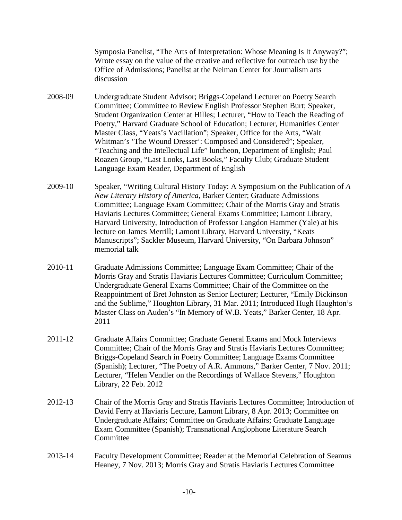Symposia Panelist, "The Arts of Interpretation: Whose Meaning Is It Anyway?"; Wrote essay on the value of the creative and reflective for outreach use by the Office of Admissions; Panelist at the Neiman Center for Journalism arts discussion

- 2008-09 Undergraduate Student Advisor; Briggs-Copeland Lecturer on Poetry Search Committee; Committee to Review English Professor Stephen Burt; Speaker, Student Organization Center at Hilles; Lecturer, "How to Teach the Reading of Poetry," Harvard Graduate School of Education; Lecturer, Humanities Center Master Class, "Yeats's Vacillation"; Speaker, Office for the Arts, "Walt Whitman's 'The Wound Dresser': Composed and Considered"; Speaker, "Teaching and the Intellectual Life" luncheon, Department of English; Paul Roazen Group, "Last Looks, Last Books," Faculty Club; Graduate Student Language Exam Reader, Department of English
- 2009-10 Speaker, "Writing Cultural History Today: A Symposium on the Publication of *A New Literary History of America*, Barker Center; Graduate Admissions Committee; Language Exam Committee; Chair of the Morris Gray and Stratis Haviaris Lectures Committee; General Exams Committee; Lamont Library, Harvard University, Introduction of Professor Langdon Hammer (Yale) at his lecture on James Merrill; Lamont Library, Harvard University, "Keats Manuscripts"; Sackler Museum, Harvard University, "On Barbara Johnson" memorial talk
- 2010-11 Graduate Admissions Committee; Language Exam Committee; Chair of the Morris Gray and Stratis Haviaris Lectures Committee; Curriculum Committee; Undergraduate General Exams Committee; Chair of the Committee on the Reappointment of Bret Johnston as Senior Lecturer; Lecturer, "Emily Dickinson and the Sublime," Houghton Library, 31 Mar. 2011; Introduced Hugh Haughton's Master Class on Auden's "In Memory of W.B. Yeats," Barker Center, 18 Apr. 2011
- 2011-12 Graduate Affairs Committee; Graduate General Exams and Mock Interviews Committee; Chair of the Morris Gray and Stratis Haviaris Lectures Committee; Briggs-Copeland Search in Poetry Committee; Language Exams Committee (Spanish); Lecturer, "The Poetry of A.R. Ammons," Barker Center, 7 Nov. 2011; Lecturer, "Helen Vendler on the Recordings of Wallace Stevens," Houghton Library, 22 Feb. 2012
- 2012-13 Chair of the Morris Gray and Stratis Haviaris Lectures Committee; Introduction of David Ferry at Haviaris Lecture, Lamont Library, 8 Apr. 2013; Committee on Undergraduate Affairs; Committee on Graduate Affairs; Graduate Language Exam Committee (Spanish); Transnational Anglophone Literature Search Committee
- 2013-14 Faculty Development Committee; Reader at the Memorial Celebration of Seamus Heaney, 7 Nov. 2013; Morris Gray and Stratis Haviaris Lectures Committee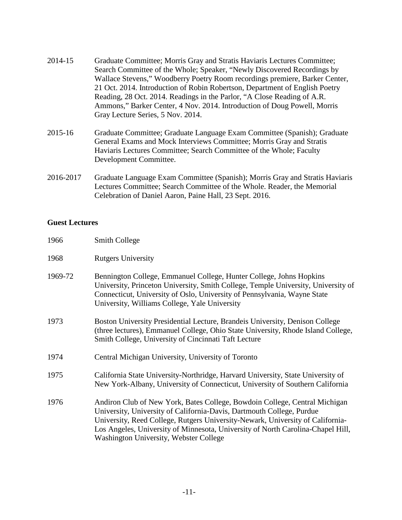- 2014-15 Graduate Committee; Morris Gray and Stratis Haviaris Lectures Committee; Search Committee of the Whole; Speaker, "Newly Discovered Recordings by Wallace Stevens," Woodberry Poetry Room recordings premiere, Barker Center, 21 Oct. 2014. Introduction of Robin Robertson, Department of English Poetry Reading, 28 Oct. 2014. Readings in the Parlor, "A Close Reading of A.R. Ammons," Barker Center, 4 Nov. 2014. Introduction of Doug Powell, Morris Gray Lecture Series, 5 Nov. 2014.
- 2015-16 Graduate Committee; Graduate Language Exam Committee (Spanish); Graduate General Exams and Mock Interviews Committee; Morris Gray and Stratis Haviaris Lectures Committee; Search Committee of the Whole; Faculty Development Committee.
- 2016-2017 Graduate Language Exam Committee (Spanish); Morris Gray and Stratis Haviaris Lectures Committee; Search Committee of the Whole. Reader, the Memorial Celebration of Daniel Aaron, Paine Hall, 23 Sept. 2016.

#### **Guest Lectures**

| 1966    | <b>Smith College</b>                                                                                                                                                                                                                                                                  |
|---------|---------------------------------------------------------------------------------------------------------------------------------------------------------------------------------------------------------------------------------------------------------------------------------------|
| 1968    | <b>Rutgers University</b>                                                                                                                                                                                                                                                             |
| 1969-72 | Bennington College, Emmanuel College, Hunter College, Johns Hopkins<br>University, Princeton University, Smith College, Temple University, University of<br>Connecticut, University of Oslo, University of Pennsylvania, Wayne State<br>University, Williams College, Yale University |
| 1973    | Boston University Presidential Lecture, Brandeis University, Denison College<br>(three lectures), Emmanuel College, Ohio State University, Rhode Island College,<br>Smith College, University of Cincinnati Taft Lecture                                                              |
| 1974    | Central Michigan University, University of Toronto                                                                                                                                                                                                                                    |
| 1975    | California State University-Northridge, Harvard University, State University of<br>New York-Albany, University of Connecticut, University of Southern California                                                                                                                      |

1976 Andiron Club of New York, Bates College, Bowdoin College, Central Michigan University, University of California-Davis, Dartmouth College, Purdue University, Reed College, Rutgers University-Newark, University of California-Los Angeles, University of Minnesota, University of North Carolina-Chapel Hill, Washington University, Webster College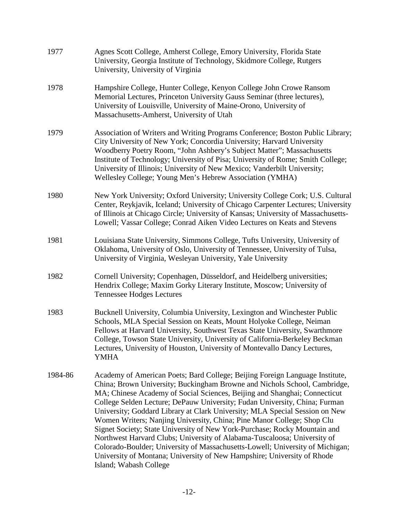| 1977    | Agnes Scott College, Amherst College, Emory University, Florida State<br>University, Georgia Institute of Technology, Skidmore College, Rutgers<br>University, University of Virginia                                                                                                                                                                                                                                                                                                                                                                                                                                                                                                                                                                                                                                        |
|---------|------------------------------------------------------------------------------------------------------------------------------------------------------------------------------------------------------------------------------------------------------------------------------------------------------------------------------------------------------------------------------------------------------------------------------------------------------------------------------------------------------------------------------------------------------------------------------------------------------------------------------------------------------------------------------------------------------------------------------------------------------------------------------------------------------------------------------|
| 1978    | Hampshire College, Hunter College, Kenyon College John Crowe Ransom<br>Memorial Lectures, Princeton University Gauss Seminar (three lectures),<br>University of Louisville, University of Maine-Orono, University of<br>Massachusetts-Amherst, University of Utah                                                                                                                                                                                                                                                                                                                                                                                                                                                                                                                                                            |
| 1979    | Association of Writers and Writing Programs Conference; Boston Public Library;<br>City University of New York; Concordia University; Harvard University<br>Woodberry Poetry Room, "John Ashbery's Subject Matter"; Massachusetts<br>Institute of Technology; University of Pisa; University of Rome; Smith College;<br>University of Illinois; University of New Mexico; Vanderbilt University;<br>Wellesley College; Young Men's Hebrew Association (YMHA)                                                                                                                                                                                                                                                                                                                                                                  |
| 1980    | New York University; Oxford University; University College Cork; U.S. Cultural<br>Center, Reykjavik, Iceland; University of Chicago Carpenter Lectures; University<br>of Illinois at Chicago Circle; University of Kansas; University of Massachusetts-<br>Lowell; Vassar College; Conrad Aiken Video Lectures on Keats and Stevens                                                                                                                                                                                                                                                                                                                                                                                                                                                                                          |
| 1981    | Louisiana State University, Simmons College, Tufts University, University of<br>Oklahoma, University of Oslo, University of Tennessee, University of Tulsa,<br>University of Virginia, Wesleyan University, Yale University                                                                                                                                                                                                                                                                                                                                                                                                                                                                                                                                                                                                  |
| 1982    | Cornell University; Copenhagen, Düsseldorf, and Heidelberg universities;<br>Hendrix College; Maxim Gorky Literary Institute, Moscow; University of<br><b>Tennessee Hodges Lectures</b>                                                                                                                                                                                                                                                                                                                                                                                                                                                                                                                                                                                                                                       |
| 1983    | Bucknell University, Columbia University, Lexington and Winchester Public<br>Schools, MLA Special Session on Keats, Mount Holyoke College, Neiman<br>Fellows at Harvard University, Southwest Texas State University, Swarthmore<br>College, Towson State University, University of California-Berkeley Beckman<br>Lectures, University of Houston, University of Montevallo Dancy Lectures,<br><b>YMHA</b>                                                                                                                                                                                                                                                                                                                                                                                                                  |
| 1984-86 | Academy of American Poets; Bard College; Beijing Foreign Language Institute,<br>China; Brown University; Buckingham Browne and Nichols School, Cambridge,<br>MA; Chinese Academy of Social Sciences, Beijing and Shanghai; Connecticut<br>College Selden Lecture; DePauw University; Fudan University, China; Furman<br>University; Goddard Library at Clark University; MLA Special Session on New<br>Women Writers; Nanjing University, China; Pine Manor College; Shop Clu<br>Signet Society; State University of New York-Purchase; Rocky Mountain and<br>Northwest Harvard Clubs; University of Alabama-Tuscaloosa; University of<br>Colorado-Boulder; University of Massachusetts-Lowell; University of Michigan;<br>University of Montana; University of New Hampshire; University of Rhode<br>Island; Wabash College |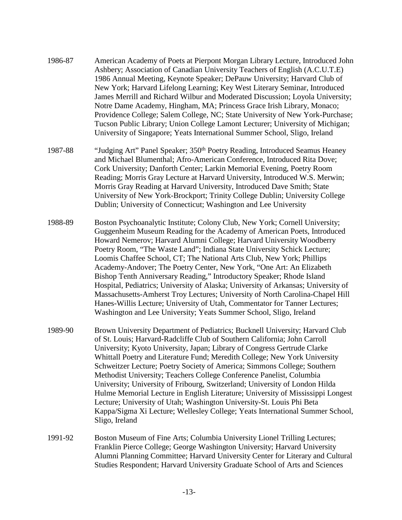- 1986-87 American Academy of Poets at Pierpont Morgan Library Lecture, Introduced John Ashbery; Association of Canadian University Teachers of English (A.C.U.T.E) 1986 Annual Meeting, Keynote Speaker; DePauw University; Harvard Club of New York; Harvard Lifelong Learning; Key West Literary Seminar, Introduced James Merrill and Richard Wilbur and Moderated Discussion; Loyola University; Notre Dame Academy, Hingham, MA; Princess Grace Irish Library, Monaco; Providence College; Salem College, NC; State University of New York-Purchase; Tucson Public Library; Union College Lamont Lecturer; University of Michigan; University of Singapore; Yeats International Summer School, Sligo, Ireland
- 1987-88 "Judging Art" Panel Speaker; 350th Poetry Reading, Introduced Seamus Heaney and Michael Blumenthal; Afro-American Conference, Introduced Rita Dove; Cork University; Danforth Center; Larkin Memorial Evening, Poetry Room Reading; Morris Gray Lecture at Harvard University, Introduced W.S. Merwin; Morris Gray Reading at Harvard University, Introduced Dave Smith; State University of New York-Brockport; Trinity College Dublin; University College Dublin; University of Connecticut; Washington and Lee University
- 1988-89 Boston Psychoanalytic Institute; Colony Club, New York; Cornell University; Guggenheim Museum Reading for the Academy of American Poets, Introduced Howard Nemerov; Harvard Alumni College; Harvard University Woodberry Poetry Room, "The Waste Land"; Indiana State University Schick Lecture; Loomis Chaffee School, CT; The National Arts Club, New York; Phillips Academy-Andover; The Poetry Center, New York, "One Art: An Elizabeth Bishop Tenth Anniversary Reading," Introductory Speaker; Rhode Island Hospital, Pediatrics; University of Alaska; University of Arkansas; University of Massachusetts-Amherst Troy Lectures; University of North Carolina-Chapel Hill Hanes-Willis Lecture; University of Utah, Commentator for Tanner Lectures; Washington and Lee University; Yeats Summer School, Sligo, Ireland
- 1989-90 Brown University Department of Pediatrics; Bucknell University; Harvard Club of St. Louis; Harvard-Radcliffe Club of Southern California; John Carroll University; Kyoto University, Japan; Library of Congress Gertrude Clarke Whittall Poetry and Literature Fund; Meredith College; New York University Schweitzer Lecture; Poetry Society of America; Simmons College; Southern Methodist University; Teachers College Conference Panelist, Columbia University; University of Fribourg, Switzerland; University of London Hilda Hulme Memorial Lecture in English Literature; University of Mississippi Longest Lecture; University of Utah; Washington University-St. Louis Phi Beta Kappa/Sigma Xi Lecture; Wellesley College; Yeats International Summer School, Sligo, Ireland
- 1991-92 Boston Museum of Fine Arts; Columbia University Lionel Trilling Lectures; Franklin Pierce College; George Washington University; Harvard University Alumni Planning Committee; Harvard University Center for Literary and Cultural Studies Respondent; Harvard University Graduate School of Arts and Sciences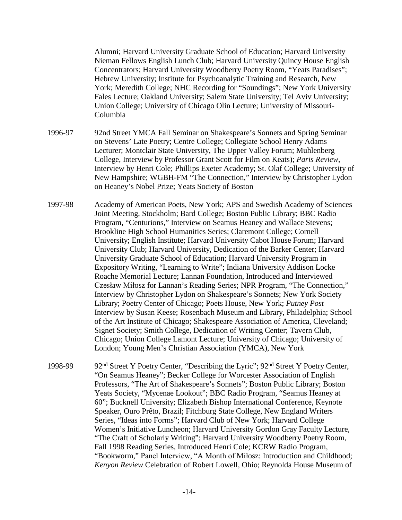Alumni; Harvard University Graduate School of Education; Harvard University Nieman Fellows English Lunch Club; Harvard University Quincy House English Concentrators; Harvard University Woodberry Poetry Room, "Yeats Paradises"; Hebrew University; Institute for Psychoanalytic Training and Research, New York; Meredith College; NHC Recording for "Soundings"; New York University Fales Lecture; Oakland University; Salem State University; Tel Aviv University; Union College; University of Chicago Olin Lecture; University of Missouri-Columbia

1996-97 92nd Street YMCA Fall Seminar on Shakespeare's Sonnets and Spring Seminar on Stevens' Late Poetry; Centre College; Collegiate School Henry Adams Lecturer; Montclair State University, The Upper Valley Forum; Muhlenberg College, Interview by Professor Grant Scott for Film on Keats); *Paris Review*, Interview by Henri Cole; Phillips Exeter Academy; St. Olaf College; University of New Hampshire; WGBH-FM "The Connection," Interview by Christopher Lydon on Heaney's Nobel Prize; Yeats Society of Boston

- 1997-98 Academy of American Poets, New York; APS and Swedish Academy of Sciences Joint Meeting, Stockholm; Bard College; Boston Public Library; BBC Radio Program, "Centurions," Interview on Seamus Heaney and Wallace Stevens; Brookline High School Humanities Series; Claremont College; Cornell University; English Institute; Harvard University Cabot House Forum; Harvard University Club; Harvard University, Dedication of the Barker Center; Harvard University Graduate School of Education; Harvard University Program in Expository Writing, "Learning to Write"; Indiana University Addison Locke Roache Memorial Lecture; Lannan Foundation, Introduced and Interviewed Czesław Miłosz for Lannan's Reading Series; NPR Program, "The Connection," Interview by Christopher Lydon on Shakespeare's Sonnets; New York Society Library; Poetry Center of Chicago; Poets House, New York; *Putney Post* Interview by Susan Keese; Rosenbach Museum and Library, Philadelphia; School of the Art Institute of Chicago; Shakespeare Association of America, Cleveland; Signet Society; Smith College, Dedication of Writing Center; Tavern Club, Chicago; Union College Lamont Lecture; University of Chicago; University of London; Young Men's Christian Association (YMCA), New York
- 1998-99 92<sup>nd</sup> Street Y Poetry Center, "Describing the Lyric"; 92<sup>nd</sup> Street Y Poetry Center, "On Seamus Heaney"; Becker College for Worcester Association of English Professors, "The Art of Shakespeare's Sonnets"; Boston Public Library; Boston Yeats Society, "Mycenae Lookout"; BBC Radio Program, "Seamus Heaney at 60"; Bucknell University; Elizabeth Bishop International Conference, Keynote Speaker, Ouro Prêto, Brazil; Fitchburg State College, New England Writers Series, "Ideas into Forms"; Harvard Club of New York; Harvard College Women's Initiative Luncheon; Harvard University Gordon Gray Faculty Lecture, "The Craft of Scholarly Writing"; Harvard University Woodberry Poetry Room, Fall 1998 Reading Series, Introduced Henri Cole; KCRW Radio Program, "Bookworm," Panel Interview, "A Month of Miłosz: Introduction and Childhood; *Kenyon Review* Celebration of Robert Lowell, Ohio; Reynolda House Museum of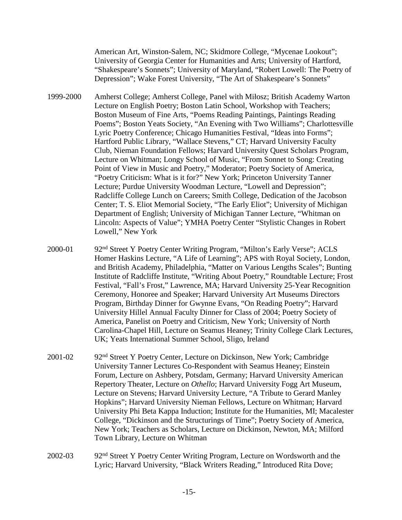American Art, Winston-Salem, NC; Skidmore College, "Mycenae Lookout"; University of Georgia Center for Humanities and Arts; University of Hartford, "Shakespeare's Sonnets"; University of Maryland, "Robert Lowell: The Poetry of Depression"; Wake Forest University, "The Art of Shakespeare's Sonnets"

- 1999-2000 Amherst College; Amherst College, Panel with Miłosz; British Academy Warton Lecture on English Poetry; Boston Latin School, Workshop with Teachers; Boston Museum of Fine Arts, "Poems Reading Paintings, Paintings Reading Poems"; Boston Yeats Society, "An Evening with Two Williams"; Charlottesville Lyric Poetry Conference; Chicago Humanities Festival, "Ideas into Forms"; Hartford Public Library, "Wallace Stevens," CT; Harvard University Faculty Club, Nieman Foundation Fellows; Harvard University Quest Scholars Program, Lecture on Whitman; Longy School of Music, "From Sonnet to Song: Creating Point of View in Music and Poetry," Moderator; Poetry Society of America, "Poetry Criticism: What is it for?" New York; Princeton University Tanner Lecture; Purdue University Woodman Lecture, "Lowell and Depression"; Radcliffe College Lunch on Careers; Smith College, Dedication of the Jacobson Center; T. S. Eliot Memorial Society, "The Early Eliot"; University of Michigan Department of English; University of Michigan Tanner Lecture, "Whitman on Lincoln: Aspects of Value"; YMHA Poetry Center "Stylistic Changes in Robert Lowell," New York
- 2000-01 92nd Street Y Poetry Center Writing Program, "Milton's Early Verse"; ACLS Homer Haskins Lecture, "A Life of Learning"; APS with Royal Society, London, and British Academy, Philadelphia, "Matter on Various Lengths Scales"; Bunting Institute of Radcliffe Institute, "Writing About Poetry," Roundtable Lecture; Frost Festival, "Fall's Frost," Lawrence, MA; Harvard University 25-Year Recognition Ceremony, Honoree and Speaker; Harvard University Art Museums Directors Program, Birthday Dinner for Gwynne Evans, "On Reading Poetry"; Harvard University Hillel Annual Faculty Dinner for Class of 2004; Poetry Society of America, Panelist on Poetry and Criticism, New York; University of North Carolina-Chapel Hill, Lecture on Seamus Heaney; Trinity College Clark Lectures, UK; Yeats International Summer School, Sligo, Ireland
- 2001-02 92nd Street Y Poetry Center, Lecture on Dickinson, New York; Cambridge University Tanner Lectures Co-Respondent with Seamus Heaney; Einstein Forum, Lecture on Ashbery, Potsdam, Germany; Harvard University American Repertory Theater, Lecture on *Othello*; Harvard University Fogg Art Museum, Lecture on Stevens; Harvard University Lecture, "A Tribute to Gerard Manley Hopkins"; Harvard University Nieman Fellows, Lecture on Whitman; Harvard University Phi Beta Kappa Induction; Institute for the Humanities, MI; Macalester College, "Dickinson and the Structurings of Time"; Poetry Society of America, New York; Teachers as Scholars, Lecture on Dickinson, Newton, MA; Milford Town Library, Lecture on Whitman
- 2002-03 92nd Street Y Poetry Center Writing Program, Lecture on Wordsworth and the Lyric; Harvard University, "Black Writers Reading," Introduced Rita Dove;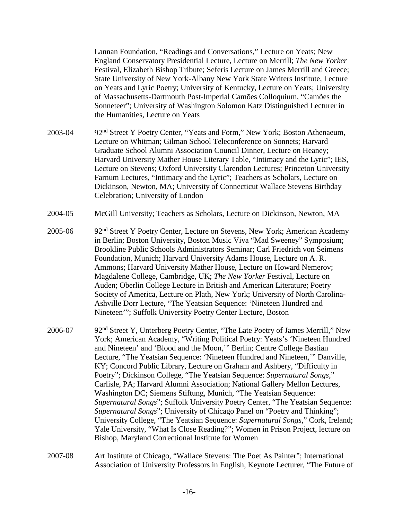Lannan Foundation, "Readings and Conversations," Lecture on Yeats; New England Conservatory Presidential Lecture, Lecture on Merrill; *The New Yorker* Festival, Elizabeth Bishop Tribute; Seferis Lecture on James Merrill and Greece; State University of New York-Albany New York State Writers Institute, Lecture on Yeats and Lyric Poetry; University of Kentucky, Lecture on Yeats; University of Massachusetts-Dartmouth Post-Imperial Camões Colloquium, "Camões the Sonneteer"; University of Washington Solomon Katz Distinguished Lecturer in the Humanities, Lecture on Yeats

- 2003-04 92nd Street Y Poetry Center, "Yeats and Form," New York; Boston Athenaeum, Lecture on Whitman; Gilman School Teleconference on Sonnets; Harvard Graduate School Alumni Association Council Dinner, Lecture on Heaney; Harvard University Mather House Literary Table, "Intimacy and the Lyric"; IES, Lecture on Stevens; Oxford University Clarendon Lectures; Princeton University Farnum Lectures, "Intimacy and the Lyric"; Teachers as Scholars, Lecture on Dickinson, Newton, MA; University of Connecticut Wallace Stevens Birthday Celebration; University of London
- 2004-05 McGill University; Teachers as Scholars, Lecture on Dickinson, Newton, MA
- 2005-06 92nd Street Y Poetry Center, Lecture on Stevens, New York; American Academy in Berlin; Boston University, Boston Music Viva "Mad Sweeney" Symposium; Brookline Public Schools Administrators Seminar; Carl Friedrich von Seimens Foundation, Munich; Harvard University Adams House, Lecture on A. R. Ammons; Harvard University Mather House, Lecture on Howard Nemerov; Magdalene College, Cambridge, UK; *The New Yorker* Festival, Lecture on Auden; Oberlin College Lecture in British and American Literature; Poetry Society of America, Lecture on Plath, New York; University of North Carolina-Ashville Dorr Lecture, "The Yeatsian Sequence: 'Nineteen Hundred and Nineteen'"; Suffolk University Poetry Center Lecture, Boston
- 2006-07 92<sup>nd</sup> Street Y, Unterberg Poetry Center, "The Late Poetry of James Merrill," New York; American Academy, "Writing Political Poetry: Yeats's 'Nineteen Hundred and Nineteen' and 'Blood and the Moon,'" Berlin; Centre College Bastian Lecture, "The Yeatsian Sequence: 'Nineteen Hundred and Nineteen,'" Danville, KY; Concord Public Library, Lecture on Graham and Ashbery, "Difficulty in Poetry"; Dickinson College, "The Yeatsian Sequence: *Supernatural Songs*," Carlisle, PA; Harvard Alumni Association; National Gallery Mellon Lectures, Washington DC; Siemens Stiftung, Munich, "The Yeatsian Sequence: *Supernatural Songs*"; Suffolk University Poetry Center, "The Yeatsian Sequence: *Supernatural Songs*"; University of Chicago Panel on "Poetry and Thinking"; University College, "The Yeatsian Sequence: *Supernatural Songs*," Cork, Ireland; Yale University, "What Is Close Reading?"; Women in Prison Project, lecture on Bishop, Maryland Correctional Institute for Women
- 2007-08 Art Institute of Chicago, "Wallace Stevens: The Poet As Painter"; International Association of University Professors in English, Keynote Lecturer, "The Future of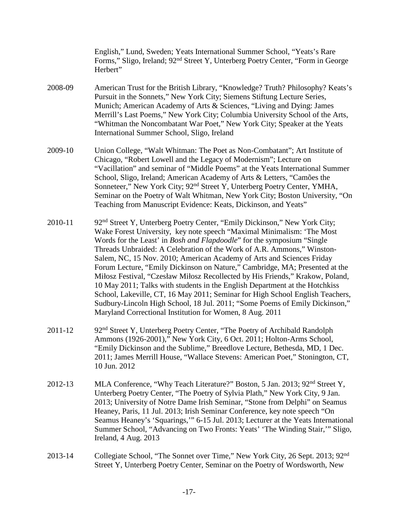English," Lund, Sweden; Yeats International Summer School, "Yeats's Rare Forms," Sligo, Ireland; 92nd Street Y, Unterberg Poetry Center, "Form in George Herbert"

- 2008-09 American Trust for the British Library, "Knowledge? Truth? Philosophy? Keats's Pursuit in the Sonnets," New York City; Siemens Stiftung Lecture Series, Munich; American Academy of Arts & Sciences, "Living and Dying: James Merrill's Last Poems," New York City; Columbia University School of the Arts, "Whitman the Noncombatant War Poet," New York City; Speaker at the Yeats International Summer School, Sligo, Ireland
- 2009-10 Union College, "Walt Whitman: The Poet as Non-Combatant"; Art Institute of Chicago, "Robert Lowell and the Legacy of Modernism"; Lecture on "Vacillation" and seminar of "Middle Poems" at the Yeats International Summer School, Sligo, Ireland; American Academy of Arts & Letters, "Camões the Sonneteer," New York City; 92nd Street Y, Unterberg Poetry Center, YMHA, Seminar on the Poetry of Walt Whitman, New York City; Boston University, "On Teaching from Manuscript Evidence: Keats, Dickinson, and Yeats"
- 2010-11 92<sup>nd</sup> Street Y, Unterberg Poetry Center, "Emily Dickinson," New York City; Wake Forest University, key note speech "Maximal Minimalism: 'The Most Words for the Least' in *Bosh and Flapdoodle*" for the symposium "Single Threads Unbraided: A Celebration of the Work of A.R. Ammons," Winston-Salem, NC, 15 Nov. 2010; American Academy of Arts and Sciences Friday Forum Lecture, "Emily Dickinson on Nature," Cambridge, MA; Presented at the Miłosz Festival, "Czesław Miłosz Recollected by His Friends," Krakow, Poland, 10 May 2011; Talks with students in the English Department at the Hotchkiss School, Lakeville, CT, 16 May 2011; Seminar for High School English Teachers, Sudbury-Lincoln High School, 18 Jul. 2011; "Some Poems of Emily Dickinson," Maryland Correctional Institution for Women, 8 Aug. 2011
- 2011-12 92<sup>nd</sup> Street Y, Unterberg Poetry Center, "The Poetry of Archibald Randolph Ammons (1926-2001)," New York City, 6 Oct. 2011; Holton-Arms School, "Emily Dickinson and the Sublime," Breedlove Lecture, Bethesda, MD, 1 Dec. 2011; James Merrill House, "Wallace Stevens: American Poet," Stonington, CT, 10 Jun. 2012
- 2012-13 MLA Conference, "Why Teach Literature?" Boston, 5 Jan. 2013; 92nd Street Y, Unterberg Poetry Center, "The Poetry of Sylvia Plath," New York City, 9 Jan. 2013; University of Notre Dame Irish Seminar, "Stone from Delphi" on Seamus Heaney, Paris, 11 Jul. 2013; Irish Seminar Conference, key note speech "On Seamus Heaney's 'Squarings,'" 6-15 Jul. 2013; Lecturer at the Yeats International Summer School, "Advancing on Two Fronts: Yeats' 'The Winding Stair,'" Sligo, Ireland, 4 Aug. 2013
- 2013-14 Collegiate School, "The Sonnet over Time," New York City, 26 Sept. 2013; 92nd Street Y, Unterberg Poetry Center, Seminar on the Poetry of Wordsworth, New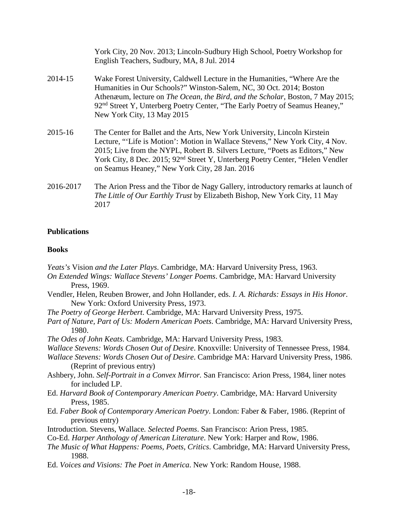|           | York City, 20 Nov. 2013; Lincoln-Sudbury High School, Poetry Workshop for<br>English Teachers, Sudbury, MA, 8 Jul. 2014                                                                                                                                                                                                                                                                    |
|-----------|--------------------------------------------------------------------------------------------------------------------------------------------------------------------------------------------------------------------------------------------------------------------------------------------------------------------------------------------------------------------------------------------|
| 2014-15   | Wake Forest University, Caldwell Lecture in the Humanities, "Where Are the<br>Humanities in Our Schools?" Winston-Salem, NC, 30 Oct. 2014; Boston<br>Athenæum, lecture on <i>The Ocean, the Bird, and the Scholar</i> , Boston, 7 May 2015;<br>92 <sup>nd</sup> Street Y, Unterberg Poetry Center, "The Early Poetry of Seamus Heaney,"<br>New York City, 13 May 2015                      |
| 2015-16   | The Center for Ballet and the Arts, New York University, Lincoln Kirstein<br>Lecture, "'Life is Motion': Motion in Wallace Stevens," New York City, 4 Nov.<br>2015; Live from the NYPL, Robert B. Silvers Lecture, "Poets as Editors," New<br>York City, 8 Dec. 2015; 92 <sup>nd</sup> Street Y, Unterberg Poetry Center, "Helen Vendler<br>on Seamus Heaney," New York City, 28 Jan. 2016 |
| 2016-2017 | The Arion Press and the Tibor de Nagy Gallery, introductory remarks at launch of<br>The Little of Our Earthly Trust by Elizabeth Bishop, New York City, 11 May                                                                                                                                                                                                                             |

#### **Publications**

2017

#### **Books**

- *Yeats's* Vision *and the Later Plays*. Cambridge, MA: Harvard University Press, 1963.
- *On Extended Wings: Wallace Stevens' Longer Poems*. Cambridge, MA: Harvard University Press, 1969.
- Vendler, Helen, Reuben Brower, and John Hollander, eds. *I. A. Richards: Essays in His Honor*. New York: Oxford University Press, 1973.
- *The Poetry of George Herbert*. Cambridge, MA: Harvard University Press, 1975.
- *Part of Nature, Part of Us: Modern American Poets*. Cambridge, MA: Harvard University Press, 1980.
- *The Odes of John Keats*. Cambridge, MA: Harvard University Press, 1983.
- *Wallace Stevens: Words Chosen Out of Desire*. Knoxville: University of Tennessee Press, 1984.
- *Wallace Stevens: Words Chosen Out of Desire*. Cambridge MA: Harvard University Press, 1986. (Reprint of previous entry)
- Ashbery, John. *Self-Portrait in a Convex Mirror.* San Francisco: Arion Press, 1984, liner notes for included LP.
- Ed. *Harvard Book of Contemporary American Poetry*. Cambridge, MA: Harvard University Press, 1985.
- Ed. *Faber Book of Contemporary American Poetry*. London: Faber & Faber, 1986. (Reprint of previous entry)
- Introduction. Stevens, Wallace*. Selected Poems*. San Francisco: Arion Press, 1985.
- Co-Ed. *Harper Anthology of American Literature*. New York: Harper and Row, 1986.
- *The Music of What Happens: Poems, Poets, Critics*. Cambridge, MA: Harvard University Press, 1988.
- Ed. *Voices and Visions: The Poet in America*. New York: Random House, 1988.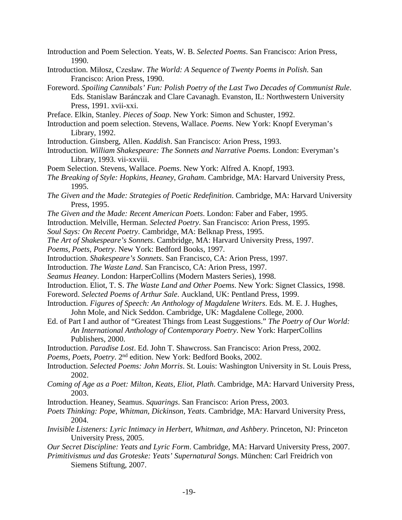- Introduction and Poem Selection. Yeats, W. B. *Selected Poems*. San Francisco: Arion Press, 1990.
- Introduction. Miłosz, Czesław. *The World: A Sequence of Twenty Poems in Polish*. San Francisco: Arion Press, 1990.
- Foreword. *Spoiling Cannibals' Fun: Polish Poetry of the Last Two Decades of Communist Rule*. Eds. Stanislaw Baránczak and Clare Cavanagh. Evanston, IL: Northwestern University Press, 1991. xvii-xxi.
- Preface. Elkin, Stanley. *Pieces of Soap*. New York: Simon and Schuster, 1992.
- Introduction and poem selection. Stevens, Wallace. *Poems*. New York: Knopf Everyman's Library, 1992.
- Introduction. Ginsberg, Allen. *Kaddish*. San Francisco: Arion Press, 1993.
- Introduction. *William Shakespeare: The Sonnets and Narrative Poems*. London: Everyman's Library, 1993. vii-xxviii.
- Poem Selection. Stevens, Wallace. *Poems*. New York: Alfred A. Knopf, 1993.
- *The Breaking of Style: Hopkins, Heaney, Graham*. Cambridge, MA: Harvard University Press, 1995.
- *The Given and the Made: Strategies of Poetic Redefinition*. Cambridge, MA: Harvard University Press, 1995.
- *The Given and the Made: Recent American Poets*. London: Faber and Faber, 1995.
- Introduction. Melville, Herman. *Selected Poetry*. San Francisco: Arion Press, 1995.
- *Soul Says: On Recent Poetry*. Cambridge, MA: Belknap Press, 1995.
- *The Art of Shakespeare's Sonnets*. Cambridge, MA: Harvard University Press, 1997.
- *Poems, Poets, Poetry*. New York: Bedford Books, 1997.
- Introduction. *Shakespeare's Sonnets*. San Francisco, CA: Arion Press, 1997.
- Introduction. *The Waste Land*. San Francisco, CA: Arion Press, 1997.
- *Seamus Heaney*. London: HarperCollins (Modern Masters Series), 1998.
- Introduction. Eliot, T. S. *The Waste Land and Other Poems*. New York: Signet Classics, 1998.
- Foreword. *Selected Poems of Arthur Sale*. Auckland, UK: Pentland Press, 1999.
- Introduction. *Figures of Speech: An Anthology of Magdalene Writers*. Eds. M. E. J. Hughes, John Mole, and Nick Seddon. Cambridge, UK: Magdalene College, 2000.
- Ed. of Part I and author of "Greatest Things from Least Suggestions." *The Poetry of Our World: An International Anthology of Contemporary Poetry*. New York: HarperCollins Publishers, 2000.
- Introduction. *Paradise Lost*. Ed. John T. Shawcross. San Francisco: Arion Press, 2002.
- *Poems, Poets, Poetry*. 2nd edition. New York: Bedford Books, 2002.
- Introduction. *Selected Poems: John Morris*. St. Louis: Washington University in St. Louis Press, 2002.
- *Coming of Age as a Poet: Milton, Keats, Eliot, Plath*. Cambridge, MA: Harvard University Press, 2003.
- Introduction. Heaney, Seamus. *Squarings*. San Francisco: Arion Press, 2003.
- *Poets Thinking: Pope, Whitman, Dickinson, Yeats*. Cambridge, MA: Harvard University Press, 2004.
- *Invisible Listeners: Lyric Intimacy in Herbert, Whitman, and Ashbery*. Princeton, NJ: Princeton University Press, 2005.
- *Our Secret Discipline: Yeats and Lyric Form*. Cambridge, MA: Harvard University Press, 2007.
- *Primitivismus und das Groteske: Yeats' Supernatural Songs*. München: Carl Freidrich von Siemens Stiftung, 2007.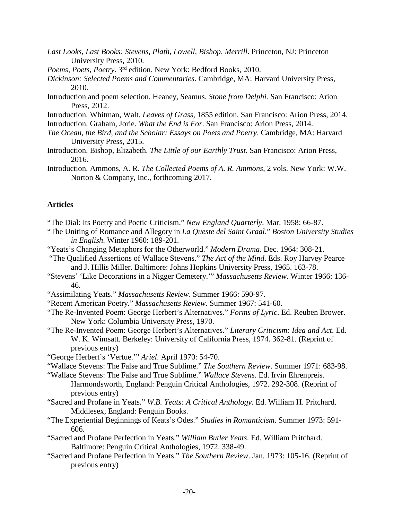- *Last Looks, Last Books: Stevens, Plath, Lowell, Bishop, Merrill*. Princeton, NJ: Princeton University Press, 2010.
- *Poems, Poets, Poetry*. 3rd edition. New York: Bedford Books, 2010.
- *Dickinson: Selected Poems and Commentaries*. Cambridge, MA: Harvard University Press, 2010.
- Introduction and poem selection. Heaney, Seamus. *Stone from Delphi.* San Francisco: Arion Press, 2012.
- Introduction. Whitman, Walt. *Leaves of Grass*, 1855 edition. San Francisco: Arion Press, 2014.
- Introduction. Graham, Jorie. *What the End is For*. San Francisco: Arion Press, 2014.
- *The Ocean, the Bird, and the Scholar: Essays on Poets and Poetry*. Cambridge, MA: Harvard University Press, 2015.
- Introduction. Bishop, Elizabeth. *The Little of our Earthly Trust*. San Francisco: Arion Press, 2016.
- Introduction. Ammons, A. R. *The Collected Poems of A. R. Ammons*, 2 vols. New York: W.W. Norton & Company, Inc., forthcoming 2017.

#### **Articles**

- "The Dial: Its Poetry and Poetic Criticism." *New England Quarterly*. Mar. 1958: 66-87.
- "The Uniting of Romance and Allegory in *La Queste del Saint Graal*." *Boston University Studies in English*. Winter 1960: 189-201.
- "Yeats's Changing Metaphors for the Otherworld." *Modern Drama*. Dec. 1964: 308-21.
- "The Qualified Assertions of Wallace Stevens." *The Act of the Mind*. Eds. Roy Harvey Pearce and J. Hillis Miller. Baltimore: Johns Hopkins University Press, 1965. 163-78.
- "Stevens' 'Like Decorations in a Nigger Cemetery.'" *Massachusetts Review*. Winter 1966: 136- 46.
- "Assimilating Yeats." *Massachusetts Review*. Summer 1966: 590-97.
- "Recent American Poetry." *Massachusetts Review*. Summer 1967: 541-60.
- "The Re-Invented Poem: George Herbert's Alternatives." *Forms of Lyric*. Ed. Reuben Brower. New York: Columbia University Press, 1970.
- "The Re-Invented Poem: George Herbert's Alternatives." *Literary Criticism: Idea and Act*. Ed. W. K. Wimsatt. Berkeley: University of California Press, 1974. 362-81. (Reprint of previous entry)
- "George Herbert's 'Vertue.'" *Ariel*. April 1970: 54-70.
- "Wallace Stevens: The False and True Sublime." *The Southern Review*. Summer 1971: 683-98.
- "Wallace Stevens: The False and True Sublime." *Wallace Stevens*. Ed. Irvin Ehrenpreis. Harmondsworth, England: Penguin Critical Anthologies, 1972. 292-308. (Reprint of previous entry)
- "Sacred and Profane in Yeats." *W.B. Yeats: A Critical Anthology.* Ed. William H. Pritchard. Middlesex, England: Penguin Books.
- "The Experiential Beginnings of Keats's Odes." *Studies in Romanticism*. Summer 1973: 591- 606.
- "Sacred and Profane Perfection in Yeats." *William Butler Yeats*. Ed. William Pritchard. Baltimore: Penguin Critical Anthologies, 1972. 338-49.
- "Sacred and Profane Perfection in Yeats." *The Southern Review*. Jan. 1973: 105-16. (Reprint of previous entry)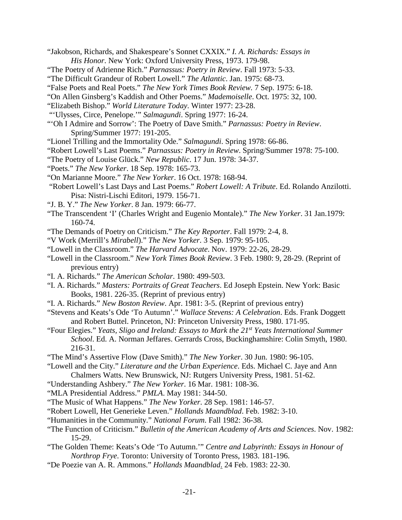- "Jakobson, Richards, and Shakespeare's Sonnet CXXIX." *I. A. Richards: Essays in His Honor*. New York: Oxford University Press, 1973. 179-98.
- "The Poetry of Adrienne Rich." *Parnassus: Poetry in Review*. Fall 1973: 5-33.

- "False Poets and Real Poets." *The New York Times Book Review.* 7 Sep. 1975: 6-18.
- "On Allen Ginsberg's Kaddish and Other Poems." *Mademoiselle*. Oct. 1975: 32, 100.
- "Elizabeth Bishop." *World Literature Today*. Winter 1977: 23-28.
- "'Ulysses, Circe, Penelope.'" *Salmagundi*. Spring 1977: 16-24.
- "'Oh I Admire and Sorrow': The Poetry of Dave Smith." *Parnassus: Poetry in Review*. Spring/Summer 1977: 191-205.
- "Lionel Trilling and the Immortality Ode." *Salmagundi*. Spring 1978: 66-86.
- "Robert Lowell's Last Poems." *Parnassus: Poetry in Review*. Spring/Summer 1978: 75-100.
- "The Poetry of Louise Glück." *New Republic*. 17 Jun. 1978: 34-37.
- "Poets." *The New Yorker*. 18 Sep. 1978: 165-73.
- "On Marianne Moore." *The New Yorker*. 16 Oct. 1978: 168-94.
- "Robert Lowell's Last Days and Last Poems." *Robert Lowell: A Tribute*. Ed. Rolando Anzilotti. Pisa: Nistri-Lischi Editori, 1979. 156-71.
- "J. B. Y." *The New Yorker*. 8 Jan. 1979: 66-77.
- "The Transcendent 'I' (Charles Wright and Eugenio Montale)." *The New Yorker*. 31 Jan.1979: 160-74.
- "The Demands of Poetry on Criticism." *The Key Reporter*. Fall 1979: 2-4, 8.
- "V Work (Merrill's *Mirabell*)." *The New Yorker*. 3 Sep. 1979: 95-105.
- "Lowell in the Classroom." *The Harvard Advocate*. Nov. 1979: 22-26, 28-29.
- "Lowell in the Classroom." *New York Times Book Review*. 3 Feb. 1980: 9, 28-29. (Reprint of previous entry)
- "I. A. Richards." *The American Scholar*. 1980: 499-503.
- "I. A. Richards." *Masters: Portraits of Great Teachers*. Ed Joseph Epstein. New York: Basic Books, 1981. 226-35. (Reprint of previous entry)
- "I. A. Richards." *New Boston Review*. Apr. 1981: 3-5. (Reprint of previous entry)
- "Stevens and Keats's Ode 'To Autumn'." *Wallace Stevens: A Celebration*. Eds. Frank Doggett and Robert Buttel. Princeton, NJ: Princeton University Press, 1980. 171-95.
- "Four Elegies." *Yeats, Sligo and Ireland: Essays to Mark the 21st Yeats International Summer School*. Ed. A. Norman Jeffares. Gerrards Cross, Buckinghamshire: Colin Smyth, 1980. 216-31.
- "The Mind's Assertive Flow (Dave Smith)." *The New Yorker*. 30 Jun. 1980: 96-105.
- "Lowell and the City." *Literature and the Urban Experience*. Eds. Michael C. Jaye and Ann Chalmers Watts. New Brunswick, NJ: Rutgers University Press, 1981. 51-62.
- "Understanding Ashbery." *The New Yorker*. 16 Mar. 1981: 108-36.
- "MLA Presidential Address." *PMLA*. May 1981: 344-50.
- "The Music of What Happens." *The New Yorker*. 28 Sep. 1981: 146-57.
- "Robert Lowell, Het Generieke Leven." *Hollands Maandblad*. Feb. 1982: 3-10.
- "Humanities in the Community." *National Forum*. Fall 1982: 36-38.
- "The Function of Criticism." *Bulletin of the American Academy of Arts and Sciences*. Nov. 1982: 15-29.
- "The Golden Theme: Keats's Ode 'To Autumn.'" *Centre and Labyrinth: Essays in Honour of Northrop Frye*. Toronto: University of Toronto Press, 1983. 181-196.
- "De Poezie van A. R. Ammons." *Hollands Maandblad*. 24 Feb. 1983: 22-30.

<sup>&</sup>quot;The Difficult Grandeur of Robert Lowell." *The Atlantic*. Jan. 1975: 68-73.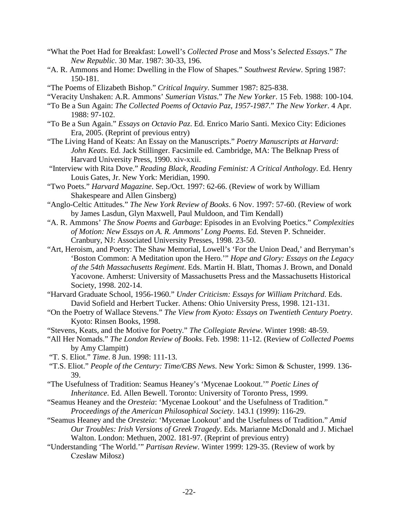- "What the Poet Had for Breakfast: Lowell's *Collected Prose* and Moss's *Selected Essays*." *The New Republic*. 30 Mar. 1987: 30-33, 196.
- "A. R. Ammons and Home: Dwelling in the Flow of Shapes." *Southwest Review*. Spring 1987: 150-181.
- "The Poems of Elizabeth Bishop." *Critical Inquiry*. Summer 1987: 825-838.
- "Veracity Unshaken: A.R. Ammons' *Sumerian Vistas*." *The New Yorker*. 15 Feb. 1988: 100-104.
- "To Be a Sun Again: *The Collected Poems of Octavio Paz, 1957-1987*." *The New Yorker*. 4 Apr. 1988: 97-102.
- "To Be a Sun Again." *Essays on Octavio Paz*. Ed. Enrico Mario Santi. Mexico City: Ediciones Era, 2005. (Reprint of previous entry)
- "The Living Hand of Keats: An Essay on the Manuscripts." *Poetry Manuscripts at Harvard: John Keats*. Ed. Jack Stillinger. Facsimile ed. Cambridge, MA: The Belknap Press of Harvard University Press, 1990. xiv-xxii.
- "Interview with Rita Dove." *Reading Black, Reading Feminist: A Critical Anthology*. Ed. Henry Louis Gates, Jr. New York: Meridian, 1990.
- "Two Poets." *Harvard Magazine*. Sep./Oct. 1997: 62-66. (Review of work by William Shakespeare and Allen Ginsberg)
- "Anglo-Celtic Attitudes." *The New York Review of Books*. 6 Nov. 1997: 57-60. (Review of work by James Lasdun, Glyn Maxwell, Paul Muldoon, and Tim Kendall)
- "A. R. Ammons' *The Snow Poems* and *Garbage*: Episodes in an Evolving Poetics." *Complexities of Motion: New Essays on A. R. Ammons' Long Poems*. Ed. Steven P. Schneider. Cranbury, NJ: Associated University Presses, 1998. 23-50.
- "Art, Heroism, and Poetry: The Shaw Memorial, Lowell's 'For the Union Dead,' and Berryman's 'Boston Common: A Meditation upon the Hero.'" *Hope and Glory: Essays on the Legacy of the 54th Massachusetts Regiment*. Eds. Martin H. Blatt, Thomas J. Brown, and Donald Yacovone. Amherst: University of Massachusetts Press and the Massachusetts Historical Society, 1998. 202-14.
- "Harvard Graduate School, 1956-1960." *Under Criticism: Essays for William Pritchard*. Eds. David Sofield and Herbert Tucker. Athens: Ohio University Press, 1998. 121-131.
- "On the Poetry of Wallace Stevens." *The View from Kyoto: Essays on Twentieth Century Poetry*. Kyoto: Rinsen Books, 1998.
- "Stevens, Keats, and the Motive for Poetry." *The Collegiate Review*. Winter 1998: 48-59.
- "All Her Nomads." *The London Review of Books*. Feb. 1998: 11-12. (Review of *Collected Poems* by Amy Clampitt)
- "T. S. Eliot." *Time*. 8 Jun. 1998: 111-13.
- "T.S. Eliot." *People of the Century: Time/CBS News*. New York: Simon & Schuster, 1999. 136- 39.
- "The Usefulness of Tradition: Seamus Heaney's 'Mycenae Lookout.'" *Poetic Lines of Inheritance*. Ed. Allen Bewell. Toronto: University of Toronto Press, 1999.
- "Seamus Heaney and the *Oresteia*: 'Mycenae Lookout' and the Usefulness of Tradition." *Proceedings of the American Philosophical Society*. 143.1 (1999): 116-29.
- "Seamus Heaney and the *Oresteia*: 'Mycenae Lookout' and the Usefulness of Tradition." *Amid Our Troubles: Irish Versions of Greek Tragedy*. Eds. Marianne McDonald and J. Michael Walton. London: Methuen, 2002. 181-97. (Reprint of previous entry)
- "Understanding 'The World.'" *Partisan Review*. Winter 1999: 129-35. (Review of work by Czesław Miłosz)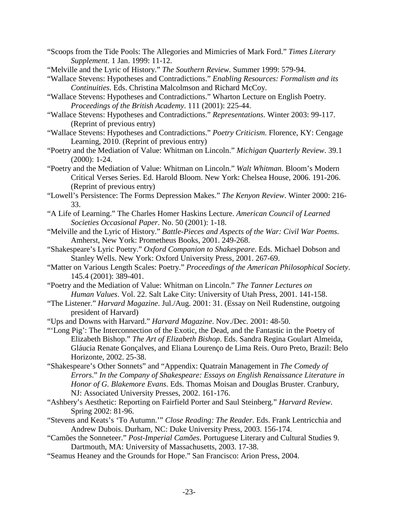- "Scoops from the Tide Pools: The Allegories and Mimicries of Mark Ford." *Times Literary Supplement*. 1 Jan. 1999: 11-12.
- "Melville and the Lyric of History." *The Southern Review*. Summer 1999: 579-94.
- "Wallace Stevens: Hypotheses and Contradictions." *Enabling Resources: Formalism and its Continuities*. Eds. Christina Malcolmson and Richard McCoy.
- "Wallace Stevens: Hypotheses and Contradictions." Wharton Lecture on English Poetry. *Proceedings of the British Academy*. 111 (2001): 225-44.
- "Wallace Stevens: Hypotheses and Contradictions." *Representations*. Winter 2003: 99-117. (Reprint of previous entry)
- "Wallace Stevens: Hypotheses and Contradictions." *Poetry Criticism.* Florence, KY: Cengage Learning, 2010. (Reprint of previous entry)
- "Poetry and the Mediation of Value: Whitman on Lincoln." *Michigan Quarterly Review*. 39.1 (2000): 1-24.
- "Poetry and the Mediation of Value: Whitman on Lincoln." *Walt Whitman*. Bloom's Modern Critical Verses Series. Ed. Harold Bloom. New York: Chelsea House, 2006. 191-206. (Reprint of previous entry)
- "Lowell's Persistence: The Forms Depression Makes." *The Kenyon Review*. Winter 2000: 216- 33.
- "A Life of Learning." The Charles Homer Haskins Lecture. *American Council of Learned Societies Occasional Paper*. No. 50 (2001): 1-18.
- "Melville and the Lyric of History." *Battle-Pieces and Aspects of the War: Civil War Poems*. Amherst, New York: Prometheus Books, 2001. 249-268.
- "Shakespeare's Lyric Poetry." *Oxford Companion to Shakespeare*. Eds. Michael Dobson and Stanley Wells. New York: Oxford University Press, 2001. 267-69.
- "Matter on Various Length Scales: Poetry." *Proceedings of the American Philosophical Society*. 145.4 (2001): 389-401.
- "Poetry and the Mediation of Value: Whitman on Lincoln." *The Tanner Lectures on Human Values*. Vol. 22. Salt Lake City: University of Utah Press, 2001. 141-158.
- "The Listener." *Harvard Magazine*. Jul./Aug. 2001: 31. (Essay on Neil Rudenstine, outgoing president of Harvard)

"Ups and Downs with Harvard." *Harvard Magazine*. Nov./Dec. 2001: 48-50.

- "'Long Pig': The Interconnection of the Exotic, the Dead, and the Fantastic in the Poetry of Elizabeth Bishop." *The Art of Elizabeth Bishop*. Eds. Sandra Regina Goulart Almeida, Gláucia Renate Gonçalves, and Eliana Lourenço de Lima Reis. Ouro Preto, Brazil: Belo Horizonte, 2002. 25-38.
- "Shakespeare's Other Sonnets" and "Appendix: Quatrain Management in *The Comedy of Errors*." *In the Company of Shakespeare: Essays on English Renaissance Literature in Honor of G. Blakemore Evans*. Eds. Thomas Moisan and Douglas Bruster. Cranbury, NJ: Associated University Presses, 2002. 161-176.
- "Ashbery's Aesthetic: Reporting on Fairfield Porter and Saul Steinberg." *Harvard Review*. Spring 2002: 81-96.
- "Stevens and Keats's 'To Autumn.'" *Close Reading: The Reader*. Eds. Frank Lentricchia and Andrew Dubois. Durham, NC: Duke University Press, 2003. 156-174.
- "Camões the Sonneteer." *Post-Imperial Camões*. Portuguese Literary and Cultural Studies 9. Dartmouth, MA: University of Massachusetts, 2003. 17-38.
- "Seamus Heaney and the Grounds for Hope." San Francisco: Arion Press, 2004.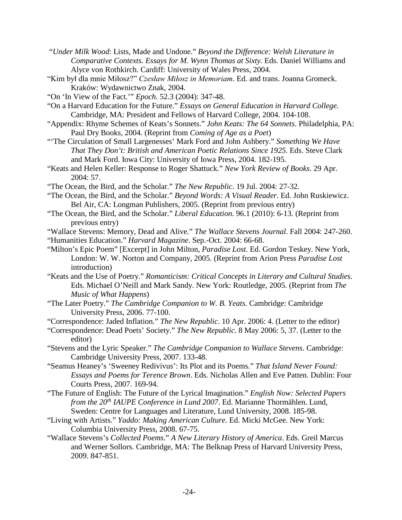- "*Under Milk Wood*: Lists, Made and Undone." *Beyond the Difference: Welsh Literature in Comparative Contexts. Essays for M. Wynn Thomas at Sixty*. Eds. Daniel Williams and Alyce von Rothkirch. Cardiff: University of Wales Press, 2004.
- "Kim był dla mnie Miłosz?" *Czesław Miłosz in Memoriam*. Ed. and trans. Joanna Gromeck. Kraków: Wydawnictwo Znak, 2004.
- "On 'In View of the Fact.'" *Epoch.* 52.3 (2004): 347-48.
- "On a Harvard Education for the Future." *Essays on General Education in Harvard College.*  Cambridge, MA: President and Fellows of Harvard College, 2004. 104-108.
- "Appendix: Rhyme Schemes of Keats's Sonnets." *John Keats: The 64 Sonnets*. Philadelphia, PA: Paul Dry Books, 2004. (Reprint from *Coming of Age as a Poet*)
- "'The Circulation of Small Largenesses' Mark Ford and John Ashbery." *Something We Have That They Don't: British and American Poetic Relations Since 1925. Eds. Steve Clark* and Mark Ford. Iowa City: University of Iowa Press, 2004. 182-195.
- "Keats and Helen Keller: Response to Roger Shattuck." *New York Review of Books*. 29 Apr. 2004: 57.
- "The Ocean, the Bird, and the Scholar." *The New Republic*. 19 Jul. 2004: 27-32.
- "The Ocean, the Bird, and the Scholar." *Beyond Words: A Visual Reader*. Ed. John Ruskiewicz. Bel Air, CA: Longman Publishers, 2005. (Reprint from previous entry)
- "The Ocean, the Bird, and the Scholar." *Liberal Education*. 96.1 (2010): 6-13. (Reprint from previous entry)
- "Wallace Stevens: Memory, Dead and Alive." *The Wallace Stevens Journal*. Fall 2004: 247-260.
- "Humanities Education." *Harvard Magazine*. Sep.-Oct. 2004: 66-68.
- "Milton's Epic Poem" [Excerpt] in John Milton, *Paradise Lost.* Ed. Gordon Teskey. New York, London: W. W. Norton and Company, 2005. (Reprint from Arion Press *Paradise Lost* introduction)
- "Keats and the Use of Poetry." *Romanticism: Critical Concepts in Literary and Cultural Studies*. Eds. Michael O'Neill and Mark Sandy. New York: Routledge, 2005. (Reprint from *The Music of What Happens*)
- "The Later Poetry." *The Cambridge Companion to W. B. Yeats*. Cambridge: Cambridge University Press, 2006. 77-100.
- "Correspondence: Jaded Inflation." *The New Republic*. 10 Apr. 2006: 4. (Letter to the editor)
- "Correspondence: Dead Poets' Society." *The New Republic*. 8 May 2006: 5, 37. (Letter to the editor)
- "Stevens and the Lyric Speaker." *The Cambridge Companion to Wallace Stevens*. Cambridge: Cambridge University Press, 2007. 133-48.
- "Seamus Heaney's 'Sweeney Redivivus': Its Plot and its Poems." *That Island Never Found: Essays and Poems for Terence Brown*. Eds. Nicholas Allen and Eve Patten. Dublin: Four Courts Press, 2007. 169-94.
- "The Future of English: The Future of the Lyrical Imagination." *English Now: Selected Papers from the 20th IAUPE Conference in Lund 2007*. Ed. Marianne Thormählen. Lund, Sweden: Centre for Languages and Literature, Lund University, 2008. 185-98.
- "Living with Artists." *Yaddo: Making American Culture*. Ed. Micki McGee. New York: Columbia University Press, 2008. 67-75.
- "Wallace Stevens's *Collected Poems*." *A New Literary History of America*. Eds. Greil Marcus and Werner Sollors. Cambridge, MA: The Belknap Press of Harvard University Press, 2009. 847-851.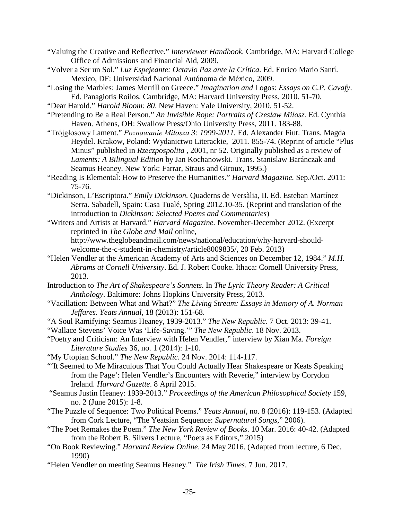"Valuing the Creative and Reflective." *Interviewer Handbook.* Cambridge, MA: Harvard College Office of Admissions and Financial Aid, 2009.

"Volver a Ser un Sol." *Luz Espejeante: Octavio Paz ante la Crítica*. Ed. Enrico Mario Santí. Mexico, DF: Universidad Nacional Autónoma de México, 2009.

"Losing the Marbles: James Merrill on Greece." *Imagination and* Logos: *Essays on C.P. Cavafy*. Ed. Panagiotis Roilos. Cambridge, MA: Harvard University Press, 2010. 51-70.

"Dear Harold." *Harold Bloom: 80*. New Haven: Yale University, 2010. 51-52.

"Pretending to Be a Real Person." *An Invisible Rope: Portraits of Czesław Miłosz.* Ed. Cynthia Haven. Athens, OH: Swallow Press/Ohio University Press, 2011. 183-88.

"Trójgłosowy Lament." *Poznawanie Miłosza 3: 1999-2011.* Ed. Alexander Fiut. Trans. Magda Heydel. Krakow, Poland: Wydanictwo Literackie, 2011. 855-74. (Reprint of article "Plus Minus" published in *Rzeczpospolita ,* 2001, nr 52. Originally published as a review of *Laments: A Bilingual Edition* by Jan Kochanowski. Trans. Stanislaw Baránczak and Seamus Heaney. New York: Farrar, Straus and Giroux, 1995.)

"Reading Is Elemental: How to Preserve the Humanities." *Harvard Magazine.* Sep./Oct. 2011: 75-76.

"Dickinson, L'Escriptora." *Emily Dickinson.* Quaderns de Versàlia, II. Ed. Esteban Martínez Serra. Sabadell, Spain: Casa Tualé, Spring 2012.10-35. (Reprint and translation of the introduction to *Dickinson: Selected Poems and Commentaries*)

"Writers and Artists at Harvard." *Harvard Magazine.* November-December 2012. (Excerpt reprinted in *The Globe and Mail* online,

http://www.theglobeandmail.com/news/national/education/why-harvard-shouldwelcome-the-c-student-in-chemistry/article8009835/, 20 Feb. 2013)

"Helen Vendler at the American Academy of Arts and Sciences on December 12, 1984." *M.H. Abrams at Cornell University*. Ed. J. Robert Cooke. Ithaca: Cornell University Press, 2013.

Introduction to *The Art of Shakespeare's Sonnets*. In *The Lyric Theory Reader: A Critical Anthology*. Baltimore: Johns Hopkins University Press, 2013.

"Vacillation: Between What and What?" *The Living Stream: Essays in Memory of A. Norman Jeffares. Yeats Annual*, 18 (2013): 151-68.

"A Soul Ramifying: Seamus Heaney, 1939-2013." *The New Republic*. 7 Oct. 2013: 39-41.

"Wallace Stevens' Voice Was 'Life-Saving.'" *The New Republic*. 18 Nov. 2013.

"Poetry and Criticism: An Interview with Helen Vendler," interview by Xian Ma. *Foreign Literature Studies* 36, no. 1 (2014): 1-10.

"My Utopian School." *The New Republic*. 24 Nov. 2014: 114-117.

"'It Seemed to Me Miraculous That You Could Actually Hear Shakespeare or Keats Speaking from the Page': Helen Vendler's Encounters with Reverie," interview by Corydon Ireland. *Harvard Gazette*. 8 April 2015.

"Seamus Justin Heaney: 1939-2013." *Proceedings of the American Philosophical Society* 159, no. 2 (June 2015): 1-8.

"The Puzzle of Sequence: Two Political Poems." *Yeats Annual*, no. 8 (2016): 119-153. (Adapted from Cork Lecture, "The Yeatsian Sequence: *Supernatural Songs*," 2006).

"The Poet Remakes the Poem." *The New York Review of Books*. 10 Mar. 2016: 40-42. (Adapted from the Robert B. Silvers Lecture, "Poets as Editors," 2015)

"On Book Reviewing." *Harvard Review Online*. 24 May 2016. (Adapted from lecture, 6 Dec. 1990)

"Helen Vendler on meeting Seamus Heaney." *The Irish Times*. 7 Jun. 2017.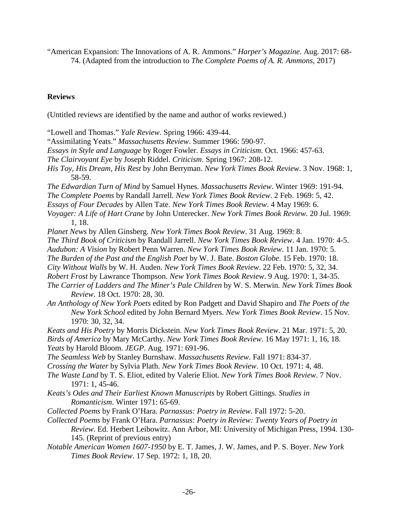"American Expansion: The Innovations of A. R. Ammons." *Harper's Magazine*. Aug. 2017: 68- 74. (Adapted from the introduction to *The Complete Poems of A. R. Ammons*, 2017)

### **Reviews**

(Untitled reviews are identified by the name and author of works reviewed.)

"Lowell and Thomas." *Yale Review*. Spring 1966: 439-44.

"Assimilating Yeats." *Massachusetts Review*. Summer 1966: 590-97.

*Essays in Style and Language* by Roger Fowler. *Essays in Criticism*. Oct. 1966: 457-63.

*The Clairvoyant Eye* by Joseph Riddel. *Criticism*. Spring 1967: 208-12.

*His Toy, His Dream, His Rest* by John Berryman. *New York Times Book Review*. 3 Nov. 1968: 1, 58-59.

*The Edwardian Turn of Mind* by Samuel Hynes. *Massachusetts Review*. Winter 1969: 191-94.

*The Complete Poems* by Randall Jarrell. *New York Times Book Review*. 2 Feb. 1969: 5, 42.

*Essays of Four Decades* by Allen Tate. *New York Times Book Review*. 4 May 1969: 6.

*Voyager: A Life of Hart Crane* by John Unterecker. *New York Times Book Review*. 20 Jul. 1969: 1, 18.

*Planet News* by Allen Ginsberg. *New York Times Book Review*. 31 Aug. 1969: 8.

*The Third Book of Criticism* by Randall Jarrell. *New York Times Book Review*. 4 Jan. 1970: 4-5.

*Audubon: A Vision* by Robert Penn Warren. *New York Times Book Review*. 11 Jan. 1970: 5.

*The Burden of the Past and the English Poet* by W. J. Bate. *Boston Globe*. 15 Feb. 1970: 18.

*City Without Walls* by W. H. Auden. *New York Times Book Review*. 22 Feb. 1970: 5, 32, 34.

- *Robert Frost* by Lawrance Thompson. *New York Times Book Review*. 9 Aug. 1970: 1, 34-35.
- *The Carrier of Ladders and The Miner's Pale Children* by W. S. Merwin. *New York Times Book Review*. 18 Oct. 1970: 28, 30.
- *An Anthology of New York Poets* edited by Ron Padgett and David Shapiro and *The Poets of the New York School* edited by John Bernard Myers. *New York Times Book Review*. 15 Nov. 1970: 30, 32, 34.
- *Keats and His Poetry* by Morris Dickstein. *New York Times Book Review*. 21 Mar. 1971: 5, 20. *Birds of America* by Mary McCarthy. *New York Times Book Review*. 16 May 1971: 1, 16, 18. *Yeats* by Harold Bloom. *JEGP*. Aug. 1971: 691-96.

*The Seamless Web* by Stanley Burnshaw. *Massachusetts Review*. Fall 1971: 834-37.

- *Crossing the Water* by Sylvia Plath. *New York Times Book Review*. 10 Oct. 1971: 4, 48.
- *The Waste Land* by T. S. Eliot, edited by Valerie Eliot. *New York Times Book Review*. 7 Nov. 1971: 1, 45-46.
- *Keats's Odes and Their Earliest Known Manuscripts* by Robert Gittings. *Studies in Romanticism*. Winter 1971: 65-69.
- *Collected Poems* by Frank O'Hara. *Parnassus: Poetry in Review*. Fall 1972: 5-20.
- *Collected Poems* by Frank O'Hara. *Parnassus: Poetry in Review: Twenty Years of Poetry in Review*. Ed. Herbert Leibowitz. Ann Arbor, MI: University of Michigan Press, 1994. 130- 145. (Reprint of previous entry)
- *Notable American Women 1607-1950* by E. T. James, J. W. James, and P. S. Boyer. *New York Times Book Review*. 17 Sep. 1972: 1, 18, 20.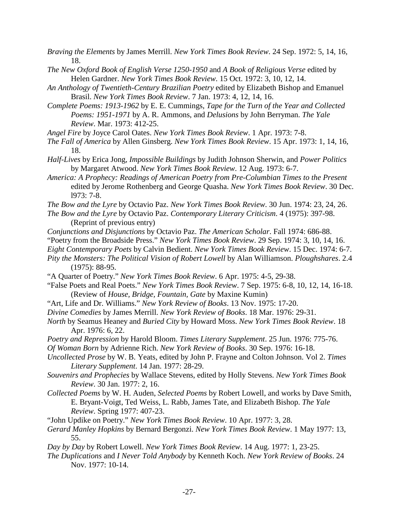- *Braving the Elements* by James Merrill. *New York Times Book Review*. 24 Sep. 1972: 5, 14, 16, 18.
- *The New Oxford Book of English Verse 1250-1950* and *A Book of Religious Verse* edited by Helen Gardner. *New York Times Book Review*. 15 Oct. 1972: 3, 10, 12, 14.
- *An Anthology of Twentieth-Century Brazilian Poetry* edited by Elizabeth Bishop and Emanuel Brasil. *New York Times Book Review*. 7 Jan. 1973: 4, 12, 14, 16.
- *Complete Poems: 1913-1962* by E. E. Cummings, *Tape for the Turn of the Year and Collected Poems: 1951-1971* by A. R. Ammons, and *Delusions* by John Berryman. *The Yale Review*. Mar. 1973: 412-25.

*Angel Fire* by Joyce Carol Oates. *New York Times Book Review*. 1 Apr. 1973: 7-8.

- *The Fall of America* by Allen Ginsberg. *New York Times Book Review*. 15 Apr. 1973: 1, 14, 16, 18.
- *Half-Lives* by Erica Jong, *Impossible Buildings* by Judith Johnson Sherwin, and *Power Politics* by Margaret Atwood. *New York Times Book Review*. 12 Aug. 1973: 6-7.
- *America: A Prophecy: Readings of American Poetry from Pre-Columbian Times to the Present* edited by Jerome Rothenberg and George Quasha. *New York Times Book Review*. 30 Dec. l973: 7-8.
- *The Bow and the Lyre* by Octavio Paz. *New York Times Book Review*. 30 Jun. 1974: 23, 24, 26.
- *The Bow and the Lyre* by Octavio Paz. *Contemporary Literary Criticism*. 4 (1975): 397-98. (Reprint of previous entry)
- *Conjunctions and Disjunctions* by Octavio Paz. *The American Scholar*. Fall 1974: 686-88.
- "Poetry from the Broadside Press." *New York Times Book Review*. 29 Sep. 1974: 3, 10, 14, 16.
- *Eight Contemporary Poets* by Calvin Bedient. *New York Times Book Review*. 15 Dec. 1974: 6-7.
- *Pity the Monsters: The Political Vision of Robert Lowell* by Alan Williamson. *Ploughshares*. 2.4 (1975): 88-95.
- "A Quarter of Poetry." *New York Times Book Review*. 6 Apr. 1975: 4-5, 29-38.
- "False Poets and Real Poets." *New York Times Book Review*. 7 Sep. 1975: 6-8, 10, 12, 14, 16-18. (Review of *House, Bridge, Fountain, Gate* by Maxine Kumin)
- "Art, Life and Dr. Williams." *New York Review of Books*. 13 Nov. 1975: 17-20.
- *Divine Comedies* by James Merrill. *New York Review of Books*. 18 Mar. 1976: 29-31.
- *North* by Seamus Heaney and *Buried City* by Howard Moss. *New York Times Book Review*. 18 Apr. 1976: 6, 22.
- *Poetry and Repression* by Harold Bloom. *Times Literary Supplement*. 25 Jun. 1976: 775-76.
- *Of Woman Born* by Adrienne Rich. *New York Review of Books*. 30 Sep. 1976: 16-18.
- *Uncollected Prose* by W. B. Yeats, edited by John P. Frayne and Colton Johnson. Vol 2. *Times Literary Supplement*. 14 Jan. 1977: 28-29.
- *Souvenirs and Prophecies* by Wallace Stevens, edited by Holly Stevens. *New York Times Book Review*. 30 Jan. 1977: 2, 16.
- *Collected Poems* by W. H. Auden, *Selected Poems* by Robert Lowell, and works by Dave Smith, E. Bryant-Voigt, Ted Weiss, L. Rabb, James Tate, and Elizabeth Bishop. *The Yale Review*. Spring 1977: 407-23.
- "John Updike on Poetry." *New York Times Book Review*. 10 Apr. 1977: 3, 28.
- *Gerard Manley Hopkins* by Bernard Bergonzi. *New York Times Book Review*. 1 May 1977: 13, 55.

*Day by Day* by Robert Lowell. *New York Times Book Review*. 14 Aug. 1977: 1, 23-25.

*The Duplications* and *I Never Told Anybody* by Kenneth Koch. *New York Review of Books*. 24 Nov. 1977: 10-14.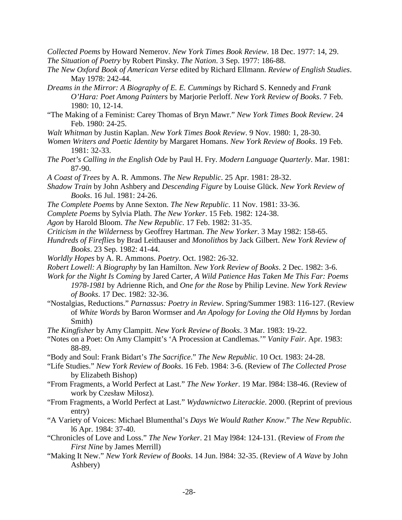*Collected Poems* by Howard Nemerov. *New York Times Book Review*. 18 Dec. 1977: 14, 29.

*The Situation of Poetry* by Robert Pinsky. *The Nation*. 3 Sep. 1977: 186-88.

- *The New Oxford Book of American Verse* edited by Richard Ellmann. *Review of English Studies*. May 1978: 242-44.
- *Dreams in the Mirror: A Biography of E. E. Cummings* by Richard S. Kennedy and *Frank O'Hara: Poet Among Painters* by Marjorie Perloff. *New York Review of Books*. 7 Feb. 1980: 10, 12-14.
- "The Making of a Feminist: Carey Thomas of Bryn Mawr." *New York Times Book Review*. 24 Feb. 1980: 24-25.
- *Walt Whitman* by Justin Kaplan. *New York Times Book Review*. 9 Nov. 1980: 1, 28-30.
- *Women Writers and Poetic Identity* by Margaret Homans. *New York Review of Books*. 19 Feb. 1981: 32-33.
- *The Poet's Calling in the English Ode* by Paul H. Fry. *Modern Language Quarterly*. Mar. 1981: 87-90.
- *A Coast of Trees* by A. R. Ammons. *The New Republic*. 25 Apr. 1981: 28-32.
- *Shadow Train* by John Ashbery and *Descending Figure* by Louise Glück. *New York Review of Books*. 16 Jul. 1981: 24-26.
- *The Complete Poems* by Anne Sexton. *The New Republic*. 11 Nov. 1981: 33-36.
- *Complete Poems* by Sylvia Plath. *The New Yorker*. 15 Feb. 1982: 124-38.
- *Agon* by Harold Bloom. *The New Republic*. 17 Feb. 1982: 31-35.
- *Criticism in the Wilderness* by Geoffrey Hartman. *The New Yorker*. 3 May 1982: 158-65.
- *Hundreds of Fireflies* by Brad Leithauser and *Monolithos* by Jack Gilbert. *New York Review of Books*. 23 Sep. 1982: 41-44.
- *Worldly Hopes* by A. R. Ammons. *Poetry*. Oct. 1982: 26-32.
- *Robert Lowell: A Biography* by Ian Hamilton. *New York Review of Books*. 2 Dec. 1982: 3-6.
- *Work for the Night Is Coming* by Jared Carter, *A Wild Patience Has Taken Me This Far: Poems 1978-1981* by Adrienne Rich, and *One for the Rose* by Philip Levine. *New York Review of Books*. 17 Dec. 1982: 32-36.
- "Nostalgias, Reductions." *Parnassus: Poetry in Review*. Spring/Summer 1983: 116-127. (Review of *White Words* by Baron Wormser and *An Apology for Loving the Old Hymns* by Jordan Smith)
- *The Kingfisher* by Amy Clampitt. *New York Review of Books*. 3 Mar. 1983: 19-22.
- "Notes on a Poet: On Amy Clampitt's 'A Procession at Candlemas.'" *Vanity Fair*. Apr. 1983: 88-89.
- "Body and Soul: Frank Bidart's *The Sacrifice*." *The New Republic*. 10 Oct. 1983: 24-28.
- "Life Studies." *New York Review of Books*. 16 Feb. 1984: 3-6. (Review of *The Collected Prose* by Elizabeth Bishop)
- "From Fragments, a World Perfect at Last." *The New Yorker*. 19 Mar. l984: l38-46. (Review of work by Czesław Miłosz).
- "From Fragments, a World Perfect at Last." *Wydawnictwo Literackie*. 2000. (Reprint of previous entry)
- "A Variety of Voices: Michael Blumenthal's *Days We Would Rather Know*." *The New Republic*. l6 Apr. 1984: 37-40.
- "Chronicles of Love and Loss." *The New Yorker*. 21 May l984: 124-131. (Review of *From the First Nine* by James Merrill)
- "Making It New." *New York Review of Books*. 14 Jun. l984: 32-35. (Review of *A Wave* by John Ashbery)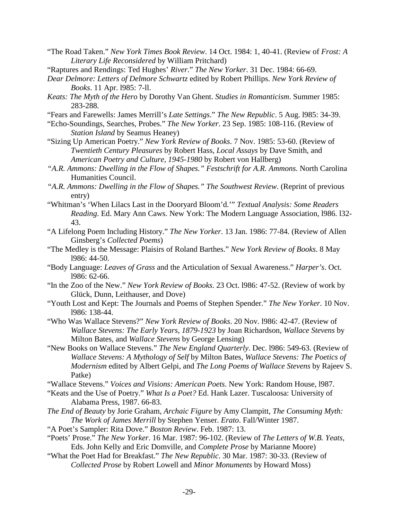- "The Road Taken." *New York Times Book Review*. 14 Oct. 1984: 1, 40-41. (Review of *Frost: A Literary Life Reconsidered* by William Pritchard)
- "Raptures and Rendings: Ted Hughes' *River*." *The New Yorker*. 31 Dec. 1984: 66-69.
- *Dear Delmore: Letters of Delmore Schwartz* edited by Robert Phillips. *New York Review of Books*. 11 Apr. l985: 7-ll.
- *Keats: The Myth of the Hero* by Dorothy Van Ghent. *Studies in Romanticism*. Summer 1985: 283-288.
- "Fears and Farewells: James Merrill's *Late Settings*." *The New Republic*. 5 Aug. l985: 34-39.
- "Echo-Soundings, Searches, Probes." *The New Yorker*. 23 Sep. 1985: 108-116. (Review of *Station Island* by Seamus Heaney)
- "Sizing Up American Poetry." *New York Review of Books*. 7 Nov. 1985: 53-60. (Review of *Twentieth Century Pleasures* by Robert Hass, *Local Assays* by Dave Smith, and *American Poetry and Culture, 1945-1980* by Robert von Hallberg)
- *"A.R. Ammons: Dwelling in the Flow of Shapes." Festschrift for A.R. Ammons*. North Carolina Humanities Council.
- *"A.R. Ammons: Dwelling in the Flow of Shapes." The Southwest Review*. (Reprint of previous entry)
- "Whitman's 'When Lilacs Last in the Dooryard Bloom'd.'" *Textual Analysis: Some Readers Reading*. Ed. Mary Ann Caws. New York: The Modern Language Association, l986. l32- 43.
- "A Lifelong Poem Including History." *The New Yorker*. 13 Jan. 1986: 77-84. (Review of Allen Ginsberg's *Collected Poems*)
- "The Medley is the Message: Plaisirs of Roland Barthes." *New York Review of Books*. 8 May l986: 44-50.
- "Body Language: *Leaves of Grass* and the Articulation of Sexual Awareness." *Harper's*. Oct. l986: 62-66.
- "In the Zoo of the New." *New York Review of Books*. 23 Oct. l986: 47-52. (Review of work by Glück, Dunn, Leithauser, and Dove)
- "Youth Lost and Kept: The Journals and Poems of Stephen Spender." *The New Yorker*. 10 Nov. l986: 138-44.
- "Who Was Wallace Stevens?" *New York Review of Books*. 20 Nov. l986: 42-47. (Review of *Wallace Stevens: The Early Years, 1879-1923* by Joan Richardson, *Wallace Stevens* by Milton Bates, and *Wallace Stevens* by George Lensing)
- "New Books on Wallace Stevens." *The New England Quarterly*. Dec. l986: 549-63. (Review of *Wallace Stevens: A Mythology of Self* by Milton Bates, *Wallace Stevens: The Poetics of Modernism* edited by Albert Gelpi, and *The Long Poems of Wallace Stevens* by Rajeev S. Patke)
- "Wallace Stevens." *Voices and Visions: American Poets*. New York: Random House, l987.
- "Keats and the Use of Poetry." *What Is a Poet?* Ed. Hank Lazer. Tuscaloosa: University of Alabama Press, 1987. 66-83.
- *The End of Beauty* by Jorie Graham, *Archaic Figure* by Amy Clampitt, *The Consuming Myth: The Work of James Merrill* by Stephen Yenser. *Erato*. Fall/Winter 1987.
- "A Poet's Sampler: Rita Dove." *Boston Review*. Feb. 1987: 13.
- "Poets' Prose." *The New Yorker*. 16 Mar. 1987: 96-102. (Review of *The Letters of W.B. Yeats,*  Eds. John Kelly and Eric Domville, and *Complete Prose* by Marianne Moore)
- "What the Poet Had for Breakfast." *The New Republic*. 30 Mar. 1987: 30-33. (Review of *Collected Prose* by Robert Lowell and *Minor Monuments* by Howard Moss)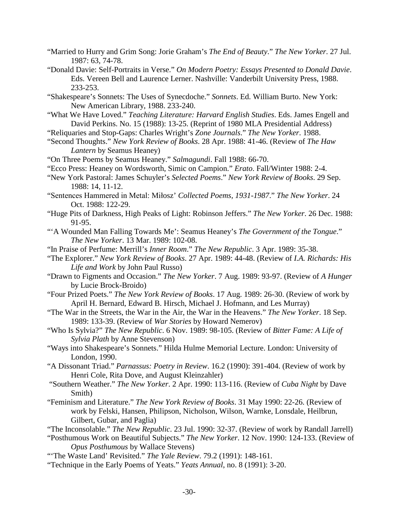- "Married to Hurry and Grim Song: Jorie Graham's *The End of Beauty*." *The New Yorker*. 27 Jul. 1987: 63, 74-78.
- "Donald Davie: Self-Portraits in Verse." *On Modern Poetry: Essays Presented to Donald Davie*. Eds. Vereen Bell and Laurence Lerner. Nashville: Vanderbilt University Press, 1988. 233-253.
- "Shakespeare's Sonnets: The Uses of Synecdoche." *Sonnets*. Ed. William Burto. New York: New American Library, 1988. 233-240.
- "What We Have Loved." *Teaching Literature: Harvard English Studies*. Eds. James Engell and David Perkins. No. 15 (1988): 13-25. (Reprint of 1980 MLA Presidential Address)
- "Reliquaries and Stop-Gaps: Charles Wright's *Zone Journals*." *The New Yorker*. 1988.
- "Second Thoughts." *New York Review of Books*. 28 Apr. 1988: 41-46. (Review of *The Haw Lantern* by Seamus Heaney)
- "On Three Poems by Seamus Heaney." *Salmagundi*. Fall 1988: 66-70.
- "Ecco Press: Heaney on Wordsworth, Simic on Campion." *Erato*. Fall/Winter 1988: 2-4.
- "New York Pastoral: James Schuyler's *Selected Poems*." *New York Review of Books*. 29 Sep. 1988: 14, 11-12.
- "Sentences Hammered in Metal: Miłosz' *Collected Poems, 1931-1987*." *The New Yorker*. 24 Oct. 1988: 122-29.
- "Huge Pits of Darkness, High Peaks of Light: Robinson Jeffers." *The New Yorker*. 26 Dec. 1988: 91-95.
- "'A Wounded Man Falling Towards Me': Seamus Heaney's *The Government of the Tongue*." *The New Yorker*. 13 Mar. 1989: 102-08.
- "In Praise of Perfume: Merrill's *Inner Room*." *The New Republic*. 3 Apr. 1989: 35-38.
- "The Explorer." *New York Review of Books*. 27 Apr. 1989: 44-48. (Review of *I.A. Richards: His Life and Work* by John Paul Russo)
- "Drawn to Figments and Occasion." *The New Yorker*. 7 Aug. 1989: 93-97. (Review of *A Hunger* by Lucie Brock-Broido)
- "Four Prized Poets." *The New York Review of Books*. 17 Aug. 1989: 26-30. (Review of work by April H. Bernard, Edward B. Hirsch, Michael J. Hofmann, and Les Murray)
- "The War in the Streets, the War in the Air, the War in the Heavens." *The New Yorker*. 18 Sep. 1989: 133-39. (Review of *War Stories* by Howard Nemerov)
- "Who Is Sylvia?" *The New Republic*. 6 Nov. 1989: 98-105. (Review of *Bitter Fame: A Life of Sylvia Plath* by Anne Stevenson)
- "Ways into Shakespeare's Sonnets." Hilda Hulme Memorial Lecture. London: University of London, 1990.
- "A Dissonant Triad." *Parnassus: Poetry in Review*. 16.2 (1990): 391-404. (Review of work by Henri Cole, Rita Dove, and August Kleinzahler)
- "Southern Weather." *The New Yorker*. 2 Apr. 1990: 113-116. (Review of *Cuba Night* by Dave Smith)
- "Feminism and Literature." *The New York Review of Books*. 31 May 1990: 22-26. (Review of work by Felski, Hansen, Philipson, Nicholson, Wilson, Warnke, Lonsdale, Heilbrun, Gilbert, Gubar, and Paglia)
- "The Inconsolable." *The New Republic*. 23 Jul. 1990: 32-37. (Review of work by Randall Jarrell)
- "Posthumous Work on Beautiful Subjects." *The New Yorker*. 12 Nov. 1990: 124-133. (Review of *Opus Posthumous* by Wallace Stevens)
- "'The Waste Land' Revisited." *The Yale Review*. 79.2 (1991): 148-161.
- "Technique in the Early Poems of Yeats." *Yeats Annual*, no. 8 (1991): 3-20.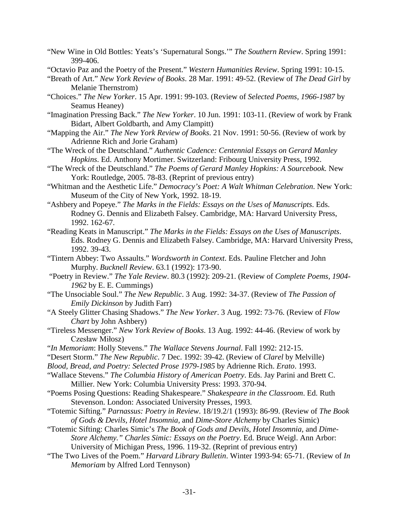- "New Wine in Old Bottles: Yeats's 'Supernatural Songs.'" *The Southern Review*. Spring 1991: 399-406.
- "Octavio Paz and the Poetry of the Present." *Western Humanities Review*. Spring 1991: 10-15.
- "Breath of Art." *New York Review of Books*. 28 Mar. 1991: 49-52. (Review of *The Dead Girl* by Melanie Thernstrom)
- "Choices." *The New Yorker*. 15 Apr. 1991: 99-103. (Review of *Selected Poems, 1966-1987* by Seamus Heaney)

"Imagination Pressing Back." *The New Yorker*. 10 Jun. 1991: 103-11. (Review of work by Frank Bidart, Albert Goldbarth, and Amy Clampitt)

- "Mapping the Air." *The New York Review of Books*. 21 Nov. 1991: 50-56. (Review of work by Adrienne Rich and Jorie Graham)
- "The Wreck of the Deutschland." *Authentic Cadence: Centennial Essays on Gerard Manley Hopkins*. Ed. Anthony Mortimer. Switzerland: Fribourg University Press, 1992.
- "The Wreck of the Deutschland." *The Poems of Gerard Manley Hopkins: A Sourcebook.* New York: Routledge, 2005. 78-83. (Reprint of previous entry)
- "Whitman and the Aesthetic Life." *Democracy's Poet: A Walt Whitman Celebration*. New York: Museum of the City of New York, 1992. 18-19.
- "Ashbery and Popeye." *The Marks in the Fields: Essays on the Uses of Manuscripts*. Eds. Rodney G. Dennis and Elizabeth Falsey. Cambridge, MA: Harvard University Press, 1992. 162-67.
- "Reading Keats in Manuscript." *The Marks in the Fields: Essays on the Uses of Manuscripts*. Eds. Rodney G. Dennis and Elizabeth Falsey. Cambridge, MA: Harvard University Press, 1992. 39-43.
- "Tintern Abbey: Two Assaults." *Wordsworth in Context*. Eds. Pauline Fletcher and John Murphy. *Bucknell Review*. 63.1 (1992): 173-90.
- "Poetry in Review." *The Yale Review*. 80.3 (1992): 209-21. (Review of *Complete Poems, 1904- 1962* by E. E. Cummings)
- "The Unsociable Soul." *The New Republic*. 3 Aug. 1992: 34-37. (Review of *The Passion of Emily Dickinson* by Judith Farr)
- "A Steely Glitter Chasing Shadows." *The New Yorker*. 3 Aug. 1992: 73-76. (Review of *Flow Chart* by John Ashbery)
- "Tireless Messenger." *New York Review of Books*. 13 Aug. 1992: 44-46. (Review of work by Czesław Miłosz)
- "*In Memoriam*: Holly Stevens." *The Wallace Stevens Journal*. Fall 1992: 212-15.
- "Desert Storm." *The New Republic*. 7 Dec. 1992: 39-42. (Review of *Clarel* by Melville)

*Blood, Bread, and Poetry: Selected Prose 1979-1985* by Adrienne Rich. *Erato*. 1993.

- "Wallace Stevens." *The Columbia History of American Poetry*. Eds. Jay Parini and Brett C. Millier. New York: Columbia University Press: 1993. 370-94.
- "Poems Posing Questions: Reading Shakespeare." *Shakespeare in the Classroom*. Ed. Ruth Stevenson. London: Associated University Presses, 1993.
- "Totemic Sifting." *Parnassus: Poetry in Review*. 18/19.2/1 (1993): 86-99. (Review of *The Book of Gods & Devils, Hotel Insomnia,* and *Dime-Store Alchemy* by Charles Simic)
- "Totemic Sifting: Charles Simic's *The Book of Gods and Devils, Hotel Insomnia,* and *Dime-Store Alchemy." Charles Simic: Essays on the Poetry*. Ed. Bruce Weigl. Ann Arbor: University of Michigan Press, 1996. 119-32. (Reprint of previous entry)
- "The Two Lives of the Poem." *Harvard Library Bulletin*. Winter 1993-94: 65-71. (Review of *In Memoriam* by Alfred Lord Tennyson)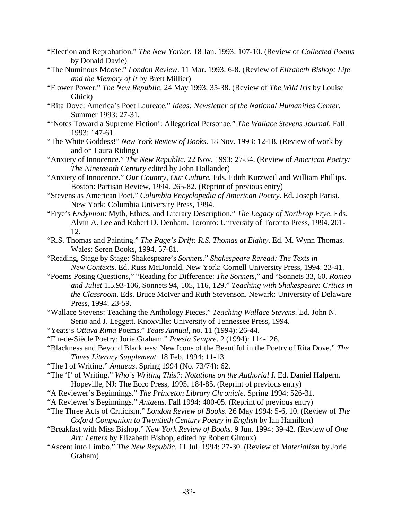- "Election and Reprobation." *The New Yorker*. 18 Jan. 1993: 107-10. (Review of *Collected Poems* by Donald Davie)
- "The Numinous Moose." *London Review*. 11 Mar. 1993: 6-8. (Review of *Elizabeth Bishop: Life and the Memory of It* by Brett Millier)
- "Flower Power." *The New Republic*. 24 May 1993: 35-38. (Review of *The Wild Iris* by Louise Glück)
- "Rita Dove: America's Poet Laureate." *Ideas: Newsletter of the National Humanities Center*. Summer 1993: 27-31.
- "'Notes Toward a Supreme Fiction': Allegorical Personae." *The Wallace Stevens Journal*. Fall 1993: 147-61.
- "The White Goddess!" *New York Review of Books*. 18 Nov. 1993: 12-18. (Review of work by and on Laura Riding)
- "Anxiety of Innocence." *The New Republic*. 22 Nov. 1993: 27-34. (Review of *American Poetry: The Nineteenth Century* edited by John Hollander)
- "Anxiety of Innocence." *Our Country, Our Culture.* Eds. Edith Kurzweil and William Phillips. Boston: Partisan Review, 1994. 265-82. (Reprint of previous entry)
- "Stevens as American Poet." *Columbia Encyclopedia of American Poetry*. Ed. Joseph Parisi. New York: Columbia University Press, 1994.
- "Frye's *Endymion*: Myth, Ethics, and Literary Description." *The Legacy of Northrop Frye*. Eds. Alvin A. Lee and Robert D. Denham. Toronto: University of Toronto Press, 1994. 201- 12.
- "R.S. Thomas and Painting." *The Page's Drift: R.S. Thomas at Eighty*. Ed. M. Wynn Thomas. Wales: Seren Books, 1994. 57-81.
- "Reading, Stage by Stage: Shakespeare's *Sonnets*." *Shakespeare Reread: The Texts in New Contexts*. Ed. Russ McDonald. New York: Cornell University Press, 1994. 23-41.
- "Poems Posing Questions," "Reading for Difference: *The Sonnets*," and "Sonnets 33, 60, *Romeo and Juliet* 1.5.93-106, Sonnets 94, 105, 116, 129." *Teaching with Shakespeare: Critics in the Classroom*. Eds. Bruce McIver and Ruth Stevenson. Newark: University of Delaware Press, 1994. 23-59.
- "Wallace Stevens: Teaching the Anthology Pieces." *Teaching Wallace Stevens*. Ed. John N. Serio and J. Leggett. Knoxville: University of Tennessee Press, 1994.
- "Yeats's *Ottava Rima* Poems." *Yeats Annual*, no. 11 (1994): 26-44.
- "Fin-de-Siècle Poetry: Jorie Graham." *Poesia Sempre*. 2 (1994): 114-126.
- "Blackness and Beyond Blackness: New Icons of the Beautiful in the Poetry of Rita Dove." *The Times Literary Supplement*. 18 Feb. 1994: 11-13.
- "The I of Writing." *Antaeus*. Spring 1994 (No. 73/74): 62.
- "The 'I' of Writing." *Who's Writing This?: Notations on the Authorial I*. Ed. Daniel Halpern. Hopeville, NJ: The Ecco Press, 1995. 184-85. (Reprint of previous entry)
- "A Reviewer's Beginnings." *The Princeton Library Chronicle*. Spring 1994: 526-31.
- "A Reviewer's Beginnings." *Antaeus*. Fall 1994: 400-05. (Reprint of previous entry)
- "The Three Acts of Criticism." *London Review of Books*. 26 May 1994: 5-6, 10. (Review of *The Oxford Companion to Twentieth Century Poetry in English* by Ian Hamilton)
- "Breakfast with Miss Bishop." *New York Review of Books*. 9 Jun. 1994: 39-42. (Review of *One Art: Letters* by Elizabeth Bishop, edited by Robert Giroux)
- "Ascent into Limbo." *The New Republic*. 11 Jul. 1994: 27-30. (Review of *Materialism* by Jorie Graham)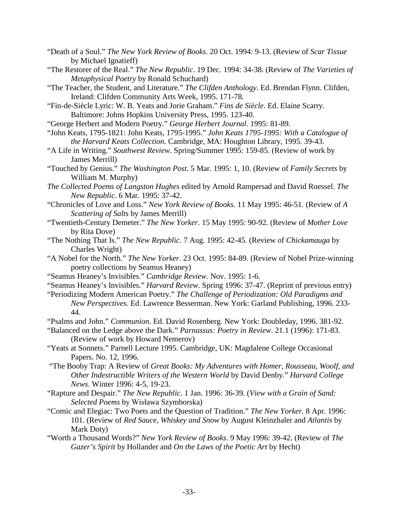- "Death of a Soul." *The New York Review of Books*. 20 Oct. 1994: 9-13. (Review of *Scar Tissue* by Michael Ignatieff)
- "The Restorer of the Real." *The New Republic*. 19 Dec. 1994: 34-38. (Review of *The Varieties of Metaphysical Poetry* by Ronald Schuchard)
- "The Teacher, the Student, and Literature." *The Clifden Anthology*. Ed. Brendan Flynn. Clifden, Ireland: Clifden Community Arts Week, 1995. 171-78.
- "Fin-de-Siècle Lyric: W. B. Yeats and Jorie Graham." *Fins de Siècle*. Ed. Elaine Scarry. Baltimore: Johns Hopkins University Press, 1995. 123-40.
- "George Herbert and Modern Poetry." *George Herbert Journal*. 1995: 81-89.
- "John Keats, 1795-1821: John Keats, 1795-1995." *John Keats 1795-1995: With a Catalogue of the Harvard Keats Collection*. Cambridge, MA: Houghton Library, 1995. 39-43.
- "A Life in Writing." *Southwest Review*. Spring/Summer 1995: 159-85. (Review of work by James Merrill)
- "Touched by Genius." *The Washington Post*. 5 Mar. 1995: 1, 10. (Review of *Family Secrets* by William M. Murphy)
- *The Collected Poems of Langston Hughes* edited by Arnold Rampersad and David Roessel. *The New Republic*. 6 Mar. 1995: 37-42.
- "Chronicles of Love and Loss." *New York Review of Books*. 11 May 1995: 46-51. (Review of *A Scattering of Salts* by James Merrill)
- "Twentieth-Century Demeter." *The New Yorker*. 15 May 1995: 90-92. (Review of *Mother Love* by Rita Dove)
- "The Nothing That Is." *The New Republic*. 7 Aug. 1995: 42-45. (Review of *Chickamauga* by Charles Wright)
- "A Nobel for the North." *The New Yorker*. 23 Oct. 1995: 84-89. (Review of Nobel Prize-winning poetry collections by Seamus Heaney)
- "Seamus Heaney's Invisibles." *Cambridge Review*. Nov. 1995: 1-6.
- "Seamus Heaney's Invisibles." *Harvard Review*. Spring 1996: 37-47. (Reprint of previous entry)
- "Periodizing Modern American Poetry." *The Challenge of Periodization: Old Paradigms and New Perspectives*. Ed. Lawrence Besserman. New York: Garland Publishing, 1996. 233- 44.
- "Psalms and John." *Communion*. Ed. David Rosenberg. New York: Doubleday, 1996. 381-92.
- "Balanced on the Ledge above the Dark." *Parnassus: Poetry in Review*. 21.1 (1996): 171-83. (Review of work by Howard Nemerov)
- "Yeats at Sonnets." Parnell Lecture 1995. Cambridge, UK: Magdalene College Occasional Papers. No. 12, 1996.
- "The Booby Trap: A Review of *Great Books: My Adventures with Homer, Rousseau, Woolf, and Other Indestructible Writers of the Western World* by David Denby." *Harvard College News*. Winter 1996: 4-5, 19-23.
- "Rapture and Despair." *The New Republic*. 1 Jan. 1996: 36-39. (*View with a Grain of Sand: Selected Poems* by Wisława Szymborska)
- "Comic and Elegiac: Two Poets and the Question of Tradition." *The New Yorker.* 8 Apr. 1996: 101. (Review of *Red Sauce, Whiskey and Snow* by August Kleinzhaler and *Atlantis* by Mark Doty)
- "Worth a Thousand Words?" *New York Review of Books*. 9 May 1996: 39-42. (Review of *The Gazer's Spirit* by Hollander and *On the Laws of the Poetic Art* by Hecht)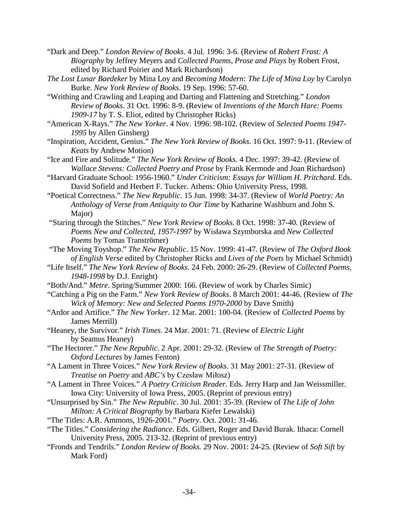- "Dark and Deep." *London Review of Books*. 4 Jul. 1996: 3-6. (Review of *Robert Frost: A Biography* by Jeffrey Meyers and *Collected Poems, Prose and Plays* by Robert Frost, edited by Richard Poirier and Mark Richardson)
- *The Lost Lunar Baedeker* by Mina Loy and *Becoming Modern: The Life of Mina Loy* by Carolyn Burke. *New York Review of Books*. 19 Sep. 1996: 57-60.
- "Writhing and Crawling and Leaping and Darting and Flattening and Stretching." *London Review of Books*. 31 Oct. 1996: 8-9. (Review of *Inventions of the March Hare: Poems 1909-17* by T. S. Eliot, edited by Christopher Ricks)
- "American X-Rays." *The New Yorker*. 4 Nov. 1996: 98-102. (Review of *Selected Poems 1947- 1995* by Allen Ginsberg)
- "Inspiration, Accident, Genius." *The New York Review of Books*. 16 Oct. 1997: 9-11. (Review of *Keats* by Andrew Motion)
- "Ice and Fire and Solitude." *The New York Review of Books*. 4 Dec. 1997: 39-42. (Review of *Wallace Stevens: Collected Poetry and Prose* by Frank Kermode and Joan Richardson)
- "Harvard Graduate School: 1956-1960." *Under Criticism: Essays for William H. Pritchard*. Eds. David Sofield and Herbert F. Tucker. Athens: Ohio University Press, 1998.
- "Poetical Correctness." *The New Republic*. 15 Jun. 1998: 34-37. (Review of *World Poetry: An Anthology of Verse from Antiquity to Our Time* by Katharine Washburn and John S. Major)
- "Staring through the Stitches." *New York Review of Books*. 8 Oct. 1998: 37-40. (Review of *Poems New and Collected, 1957-1997* by Wisława Szymborska and *New Collected Poems* by Tomas Tranströmer)
- "The Moving Toyshop." *The New Republic*. 15 Nov. 1999: 41-47. (Review of *The Oxford Book of English Verse* edited by Christopher Ricks and *Lives of the Poets* by Michael Schmidt)
- "Life Itself." *The New York Review of Books*. 24 Feb. 2000: 26-29. (Review of *Collected Poems, 1948-1998* by D.J. Enright)
- "Both/And." *Metre*. Spring/Summer 2000: 166. (Review of work by Charles Simic)
- "Catching a Pig on the Farm." *New York Review of Books*. 8 March 2001: 44-46. (Review of *The Wick of Memory: New and Selected Poems 1970-2000* by Dave Smith)
- "Ardor and Artifice." *The New Yorker*. 12 Mar. 2001: 100-04. (Review of *Collected Poems* by James Merrill)
- "Heaney, the Survivor." *Irish Times*. 24 Mar. 2001: 71. (Review of *Electric Light* by Seamus Heaney)
- "The Hectorer." *The New Republic*. 2 Apr. 2001: 29-32. (Review of *The Strength of Poetry: Oxford Lectures* by James Fenton)
- "A Lament in Three Voices." *New York Review of Books*. 31 May 2001: 27-31. (Review of *Treatise on Poetry* and *ABC's* by Czesław Miłosz)
- "A Lament in Three Voices." *A Poetry Criticism Reader*. Eds. Jerry Harp and Jan Weissmiller. Iowa City: University of Iowa Press, 2005. (Reprint of previous entry)
- "Unsurprised by Sin." *The New Republic*. 30 Jul. 2001: 35-39. (Review of *The Life of John Milton: A Critical Biography* by Barbara Kiefer Lewalski)
- "The Titles: A.R. Ammons, 1926-2001." *Poetry*. Oct. 2001: 31-46.
- "The Titles." *Considering the Radiance*. Eds. Gilbert, Roger and David Burak. Ithaca: Cornell University Press, 2005. 213-32. (Reprint of previous entry)
- "Fronds and Tendrils." *London Review of Books.* 29 Nov. 2001: 24-25. (Review of *Soft Sift* by Mark Ford)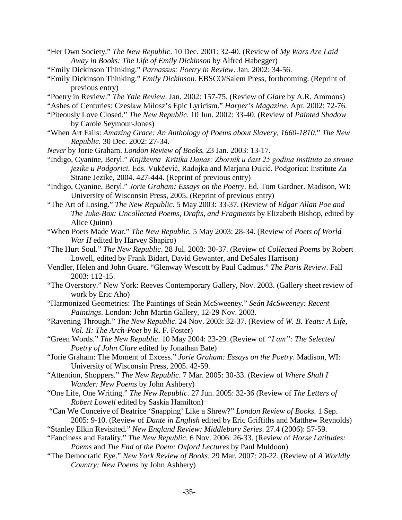- "Her Own Society." *The New Republic*. 10 Dec. 2001: 32-40. (Review of *My Wars Are Laid Away in Books: The Life of Emily Dickinson* by Alfred Habegger)
- "Emily Dickinson Thinking." *Parnassus: Poetry in Review*. Jan. 2002: 34-56.
- "Emily Dickinson Thinking." *Emily Dickinson.* EBSCO/Salem Press, forthcoming. (Reprint of previous entry)
- "Poetry in Review." *The Yale Review*. Jan. 2002: 157-75. (Review of *Glare* by A.R. Ammons)

"Ashes of Centuries: Czesław Miłosz's Epic Lyricism." *Harper's Magazine*. Apr. 2002: 72-76.

- "Piteously Love Closed." *The New Republic*. 10 Jun. 2002: 33-40. (Review of *Painted Shadow* by Carole Seymour-Jones)
- "When Art Fails: *Amazing Grace: An Anthology of Poems about Slavery, 1660-1810*." *The New Republic*. 30 Dec. 2002: 27-34.
- *Never* by Jorie Graham. *London Review of Books.* 23 Jan. 2003: 13-17.
- "Indigo, Cyanine, Beryl." *Književna Kritika Danas: Zbornik u čast 25 godina Instituta za strane jezike u Podgorici.* Eds. Vukčević, Radojka and Marjana Đukić. Podgorica: Institute Za Strane Jezike, 2004. 427-444. (Reprint of previous entry)
- "Indigo, Cyanine, Beryl." *Jorie Graham: Essays on the Poetry*. Ed. Tom Gardner. Madison, WI: University of Wisconsin Press, 2005. (Reprint of previous entry)
- "The Art of Losing." *The New Republic.* 5 May 2003: 33-37. (Review of *Edgar Allan Poe and The Juke-Box: Uncollected Poems, Drafts, and Fragments* by Elizabeth Bishop, edited by Alice Quinn)
- "When Poets Made War." *The New Republic.* 5 May 2003: 28-34. (Review of *Poets of World War II* edited by Harvey Shapiro)
- "The Hurt Soul." *The New Republic*. 28 Jul. 2003: 30-37. (Review of *Collected Poems* by Robert Lowell, edited by Frank Bidart, David Gewanter, and DeSales Harrison)
- Vendler, Helen and John Guare. "Glenway Wescott by Paul Cadmus." *The Paris Review*. Fall 2003: 112-15.
- "The Overstory." New York: Reeves Contemporary Gallery, Nov. 2003. (Gallery sheet review of work by Eric Aho)
- "Harmonized Geometries: The Paintings of Seán McSweeney." *Seán McSweeney: Recent Paintings*. London: John Martin Gallery, 12-29 Nov. 2003.
- "Ravening Through." *The New Republic*. 24 Nov. 2003: 32-37. (Review of *W. B. Yeats: A Life, Vol. II: The Arch-Poet* by R. F. Foster)
- "Green Words." *The New Republic*. 10 May 2004: 23-29. (Review of *"I am": The Selected Poetry of John Clare* edited by Jonathan Bate)
- "Jorie Graham: The Moment of Excess." *Jorie Graham: Essays on the Poetry*. Madison, WI: University of Wisconsin Press, 2005. 42-59.
- "Attention, Shoppers." *The New Republic*. 7 Mar. 2005: 30-33. (Review of *Where Shall I Wander: New Poems* by John Ashbery)
- "One Life, One Writing." *The New Republic*. 27 Jun. 2005: 32-36 (Review of *The Letters of Robert Lowell* edited by Saskia Hamilton)
- "Can We Conceive of Beatrice 'Snapping' Like a Shrew?" *London Review of Books.* 1 Sep. 2005: 9-10. (Review of *Dante in English* edited by Eric Griffiths and Matthew Reynolds)
- "Stanley Elkin Revisited*.*" *New England Review: Middlebury Series*. 27.4 (2006): 57-59.
- "Fanciness and Fatality." *The New Republic*. 6 Nov. 2006: 26-33. (Review of *Horse Latitudes: Poems* and *The End of the Poem: Oxford Lectures* by Paul Muldoon)
- "The Democratic Eye." *New York Review of Books*. 29 Mar. 2007: 20-22. (Review of *A Worldly Country: New Poems* by John Ashbery)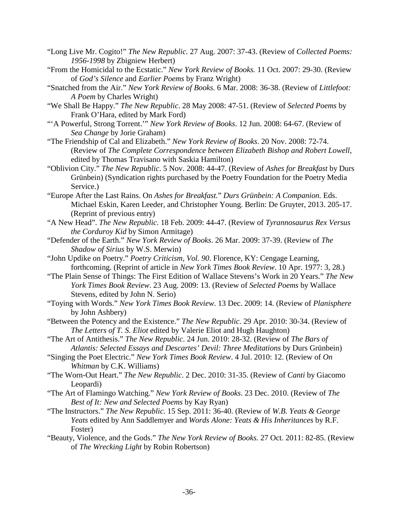- "Long Live Mr. Cogito!" *The New Republic.* 27 Aug. 2007: 37-43. (Review of *Collected Poems: 1956-1998* by Zbigniew Herbert)
- "From the Homicidal to the Ecstatic." *New York Review of Books.* 11 Oct. 2007: 29-30. (Review of *God's Silence* and *Earlier Poems* by Franz Wright)
- "Snatched from the Air." *New York Review of Books.* 6 Mar. 2008: 36-38. (Review of *Littlefoot: A Poem* by Charles Wright)
- "We Shall Be Happy." *The New Republic*. 28 May 2008: 47-51. (Review of *Selected Poems* by Frank O'Hara, edited by Mark Ford)
- "'A Powerful, Strong Torrent.'" *New York Review of Books*. 12 Jun. 2008: 64-67. (Review of *Sea Change* by Jorie Graham)
- "The Friendship of Cal and Elizabeth." *New York Review of Books*. 20 Nov. 2008: 72-74. (Review of *The Complete Correspondence between Elizabeth Bishop and Robert Lowell*, edited by Thomas Travisano with Saskia Hamilton)
- "Oblivion City." *The New Republic*. 5 Nov. 2008: 44-47. (Review of *Ashes for Breakfast* by Durs Grünbein) (Syndication rights purchased by the Poetry Foundation for the Poetry Media Service.)
- "Europe After the Last Rains. On *Ashes for Breakfast.*" *Durs Grünbein: A Companion.* Eds. Michael Eskin, Karen Leeder, and Christopher Young. Berlin: De Gruyter, 2013. 205-17. (Reprint of previous entry)
- "A New Head". *The New Republic*. 18 Feb. 2009: 44-47. (Review of *Tyrannosaurus Rex Versus the Corduroy Kid* by Simon Armitage)
- "Defender of the Earth." *New York Review of Books*. 26 Mar. 2009: 37-39. (Review of *The Shadow of Sirius* by W.S. Merwin)
- "John Updike on Poetry." *Poetry Criticism, Vol. 90*. Florence, KY: Cengage Learning, forthcoming. (Reprint of article in *New York Times Book Review*. 10 Apr. 1977: 3, 28.)
- "The Plain Sense of Things: The First Edition of Wallace Stevens's Work in 20 Years." *The New York Times Book Review*. 23 Aug. 2009: 13. (Review of *Selected Poems* by Wallace Stevens, edited by John N. Serio)
- "Toying with Words." *New York Times Book Review*. 13 Dec. 2009: 14. (Review of *Planisphere* by John Ashbery)
- "Between the Potency and the Existence." *The New Republic*. 29 Apr. 2010: 30-34. (Review of *The Letters of T. S. Eliot* edited by Valerie Eliot and Hugh Haughton)
- "The Art of Antithesis." *The New Republic*. 24 Jun. 2010: 28-32. (Review of *The Bars of Atlantis: Selected Essays and Descartes' Devil: Three Meditations* by Durs Grünbein)
- "Singing the Poet Electric." *New York Times Book Review*. 4 Jul. 2010: 12. (Review of *On Whitman* by C.K. Williams)
- "The Worn-Out Heart." *The New Republic*. 2 Dec. 2010: 31-35. (Review of *Canti* by Giacomo Leopardi)
- "The Art of Flamingo Watching." *New York Review of Books*. 23 Dec. 2010. (Review of *The Best of It: New and Selected Poems* by Kay Ryan)
- "The Instructors." *The New Republic.* 15 Sep. 2011: 36-40. (Review of *W.B. Yeats & George Yeats* edited by Ann Saddlemyer and *Words Alone: Yeats & His Inheritances* by R.F. Foster)
- "Beauty, Violence, and the Gods." *The New York Review of Books.* 27 Oct. 2011: 82-85. (Review of *The Wrecking Light* by Robin Robertson)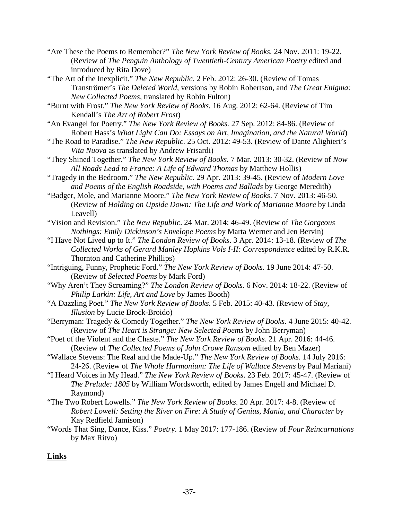"Are These the Poems to Remember?" *The New York Review of Books.* 24 Nov. 2011: 19-22. (Review of *The Penguin Anthology of Twentieth-Century American Poetry* edited and introduced by Rita Dove)

"The Art of the Inexplicit." *The New Republic.* 2 Feb. 2012: 26-30. (Review of Tomas Tranströmer's *The Deleted World,* versions by Robin Robertson, and *The Great Enigma: New Collected Poems,* translated by Robin Fulton)

"Burnt with Frost." *The New York Review of Books.* 16 Aug. 2012: 62-64. (Review of Tim Kendall's *The Art of Robert Frost*)

- "An Evangel for Poetry." *The New York Review of Books.* 27 Sep. 2012: 84-86. (Review of Robert Hass's *What Light Can Do: Essays on Art, Imagination, and the Natural World*)
- "The Road to Paradise." *The New Republic.* 25 Oct. 2012: 49-53. (Review of Dante Alighieri's *Vita Nuova* as translated by Andrew Frisardi)
- "They Shined Together." *The New York Review of Books.* 7 Mar. 2013: 30-32. (Review of *Now All Roads Lead to France: A Life of Edward Thomas* by Matthew Hollis)
- "Tragedy in the Bedroom." *The New Republic.* 29 Apr. 2013: 39-45. (Review of *Modern Love and Poems of the English Roadside, with Poems and Ballads* by George Meredith)
- "Badger, Mole, and Marianne Moore." *The New York Review of Books*. 7 Nov. 2013: 46-50. (Review of *Holding on Upside Down: The Life and Work of Marianne Moore* by Linda Leavell)
- "Vision and Revision." *The New Republic*. 24 Mar. 2014: 46-49. (Review of *The Gorgeous Nothings: Emily Dickinson's Envelope Poems* by Marta Werner and Jen Bervin)
- "I Have Not Lived up to It." *The London Review of Books*. 3 Apr. 2014: 13-18. (Review of *The Collected Works of Gerard Manley Hopkins Vols I-II: Correspondence* edited by R.K.R. Thornton and Catherine Phillips)
- "Intriguing, Funny, Prophetic Ford." *The New York Review of Books*. 19 June 2014: 47-50. (Review of *Selected Poems* by Mark Ford)
- "Why Aren't They Screaming?" *The London Review of Books*. 6 Nov. 2014: 18-22. (Review of *Philip Larkin: Life, Art and Love* by James Booth)
- "A Dazzling Poet." *The New York Review of Books*. 5 Feb. 2015: 40-43. (Review of *Stay, Illusion* by Lucie Brock-Broido)
- "Berryman: Tragedy & Comedy Together." *The New York Review of Books*. 4 June 2015: 40-42. (Review of *The Heart is Strange: New Selected Poems* by John Berryman)
- "Poet of the Violent and the Chaste." *The New York Review of Books*. 21 Apr. 2016: 44-46. (Review of *The Collected Poems of John Crowe Ransom* edited by Ben Mazer)
- "Wallace Stevens: The Real and the Made-Up." *The New York Review of Books*. 14 July 2016: 24-26. (Review of *The Whole Harmonium: The Life of Wallace Stevens* by Paul Mariani)
- "I Heard Voices in My Head." *The New York Review of Books*. 23 Feb. 2017: 45-47. (Review of *The Prelude: 1805* by William Wordsworth, edited by James Engell and Michael D. Raymond)
- "The Two Robert Lowells." *The New York Review of Books*. 20 Apr. 2017: 4-8. (Review of *Robert Lowell: Setting the River on Fire: A Study of Genius, Mania, and Character* by Kay Redfield Jamison)
- "Words That Sing, Dance, Kiss." *Poetry*. 1 May 2017: 177-186. (Review of *Four Reincarnations* by Max Ritvo)

# **Links**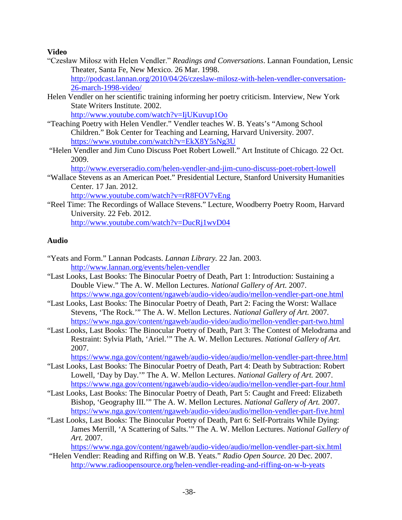#### **Video**

- "Czesław Miłosz with Helen Vendler." *Readings and Conversations*. Lannan Foundation, Lensic Theater, Santa Fe, New Mexico. 26 Mar. 1998. [http://podcast.lannan.org/2010/04/26/czeslaw-milosz-with-helen-vendler-conversation-](http://podcast.lannan.org/2010/04/26/czeslaw-milosz-with-helen-vendler-conversation-26-march-1998-video/)[26-march-1998-video/](http://podcast.lannan.org/2010/04/26/czeslaw-milosz-with-helen-vendler-conversation-26-march-1998-video/)
- Helen Vendler on her scientific training informing her poetry criticism. Interview, New York State Writers Institute. 2002.

<http://www.youtube.com/watch?v=IjUKuvup1Oo>

- "Teaching Poetry with Helen Vendler." Vendler teaches W. B. Yeats's "Among School Children." Bok Center for Teaching and Learning, Harvard University. 2007. <https://www.youtube.com/watch?v=EkX8Y5sNg3U>
- "Helen Vendler and Jim Cuno Discuss Poet Robert Lowell." Art Institute of Chicago*.* 22 Oct. 2009.

<http://www.everseradio.com/helen-vendler-and-jim-cuno-discuss-poet-robert-lowell>

"Wallace Stevens as an American Poet." Presidential Lecture, Stanford University Humanities Center*.* 17 Jan. 2012.

<http://www.youtube.com/watch?v=rR8FOV7vEng>

"Reel Time: The Recordings of Wallace Stevens." Lecture, Woodberry Poetry Room, Harvard University*.* 22 Feb. 2012.

<http://www.youtube.com/watch?v=DucRj1wvD04>

# **Audio**

- "Yeats and Form." Lannan Podcasts. *Lannan Library.* 22 Jan. 2003. <http://www.lannan.org/events/helen-vendler>
- "Last Looks, Last Books: The Binocular Poetry of Death, Part 1: Introduction: Sustaining a Double View." The A. W. Mellon Lectures. *National Gallery of Art.* 2007. <https://www.nga.gov/content/ngaweb/audio-video/audio/mellon-vendler-part-one.html>
- "Last Looks, Last Books: The Binocular Poetry of Death, Part 2: Facing the Worst: Wallace Stevens, 'The Rock.'" The A. W. Mellon Lectures. *National Gallery of Art.* 2007. <https://www.nga.gov/content/ngaweb/audio-video/audio/mellon-vendler-part-two.html>
- "Last Looks, Last Books: The Binocular Poetry of Death, Part 3: The Contest of Melodrama and Restraint: Sylvia Plath, 'Ariel.'" The A. W. Mellon Lectures. *National Gallery of Art.*  2007.

<https://www.nga.gov/content/ngaweb/audio-video/audio/mellon-vendler-part-three.html>

- "Last Looks, Last Books: The Binocular Poetry of Death, Part 4: Death by Subtraction: Robert Lowell, 'Day by Day.'" The A. W. Mellon Lectures. *National Gallery of Art.* 2007. <https://www.nga.gov/content/ngaweb/audio-video/audio/mellon-vendler-part-four.html>
- "Last Looks, Last Books: The Binocular Poetry of Death, Part 5: Caught and Freed: Elizabeth Bishop, 'Geography III.'" The A. W. Mellon Lectures. *National Gallery of Art.* 2007. <https://www.nga.gov/content/ngaweb/audio-video/audio/mellon-vendler-part-five.html>
- "Last Looks, Last Books: The Binocular Poetry of Death, Part 6: Self-Portraits While Dying: James Merrill, 'A Scattering of Salts.'" The A. W. Mellon Lectures. *National Gallery of Art.* 2007.

<https://www.nga.gov/content/ngaweb/audio-video/audio/mellon-vendler-part-six.html>

"Helen Vendler: Reading and Riffing on W.B. Yeats." *Radio Open Source.* 20 Dec. 2007. <http://www.radioopensource.org/helen-vendler-reading-and-riffing-on-w-b-yeats>